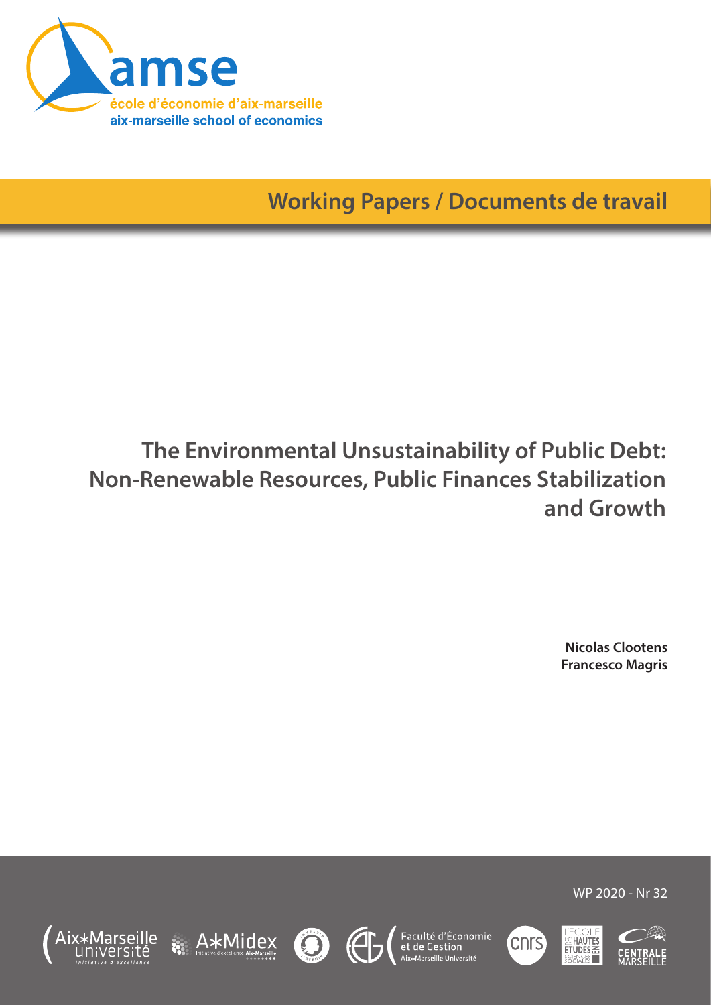

**Working Papers / Documents de travail**

# **The Environmental Unsustainability of Public Debt: Non-Renewable Resources, Public Finances Stabilization and Growth**

**Nicolas Clootens Francesco Magris**

WP 2020 - Nr 32

**HAUTES** ETUDES

(CNTS)







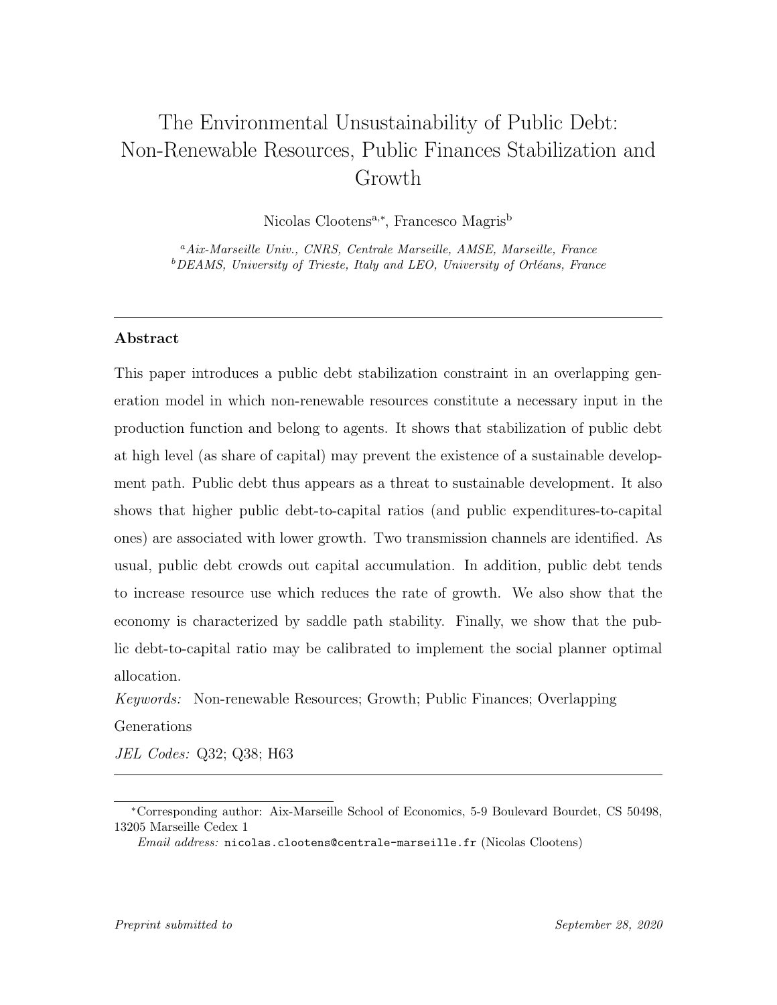# The Environmental Unsustainability of Public Debt: Non-Renewable Resources, Public Finances Stabilization and Growth

Nicolas Clootens<sup>a,∗</sup>, Francesco Magris<sup>b</sup>

<sup>a</sup>Aix-Marseille Univ., CNRS, Centrale Marseille, AMSE, Marseille, France  $b$ DEAMS, University of Trieste, Italy and LEO, University of Orléans, France

#### Abstract

This paper introduces a public debt stabilization constraint in an overlapping generation model in which non-renewable resources constitute a necessary input in the production function and belong to agents. It shows that stabilization of public debt at high level (as share of capital) may prevent the existence of a sustainable development path. Public debt thus appears as a threat to sustainable development. It also shows that higher public debt-to-capital ratios (and public expenditures-to-capital ones) are associated with lower growth. Two transmission channels are identified. As usual, public debt crowds out capital accumulation. In addition, public debt tends to increase resource use which reduces the rate of growth. We also show that the economy is characterized by saddle path stability. Finally, we show that the public debt-to-capital ratio may be calibrated to implement the social planner optimal allocation.

Keywords: Non-renewable Resources; Growth; Public Finances; Overlapping Generations

JEL Codes: Q32; Q38; H63

<sup>∗</sup>Corresponding author: Aix-Marseille School of Economics, 5-9 Boulevard Bourdet, CS 50498, 13205 Marseille Cedex 1

Email address: nicolas.clootens@centrale-marseille.fr (Nicolas Clootens)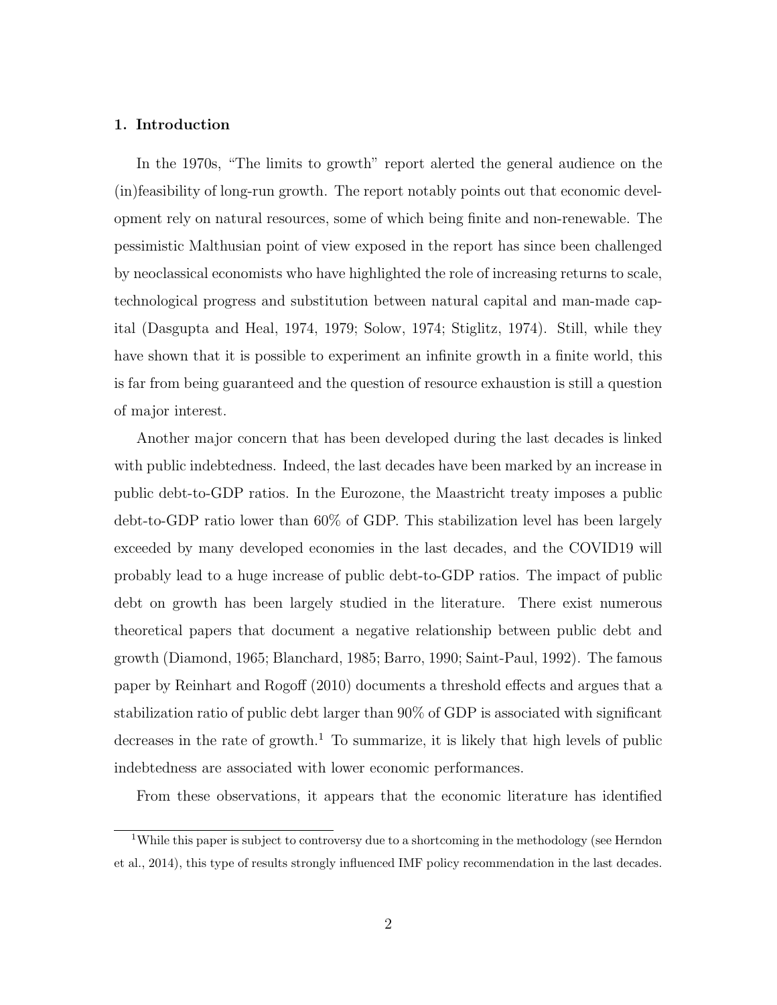#### 1. Introduction

In the 1970s, "The limits to growth" report alerted the general audience on the (in)feasibility of long-run growth. The report notably points out that economic development rely on natural resources, some of which being finite and non-renewable. The pessimistic Malthusian point of view exposed in the report has since been challenged by neoclassical economists who have highlighted the role of increasing returns to scale, technological progress and substitution between natural capital and man-made capital (Dasgupta and Heal, 1974, 1979; Solow, 1974; Stiglitz, 1974). Still, while they have shown that it is possible to experiment an infinite growth in a finite world, this is far from being guaranteed and the question of resource exhaustion is still a question of major interest.

Another major concern that has been developed during the last decades is linked with public indebtedness. Indeed, the last decades have been marked by an increase in public debt-to-GDP ratios. In the Eurozone, the Maastricht treaty imposes a public debt-to-GDP ratio lower than 60% of GDP. This stabilization level has been largely exceeded by many developed economies in the last decades, and the COVID19 will probably lead to a huge increase of public debt-to-GDP ratios. The impact of public debt on growth has been largely studied in the literature. There exist numerous theoretical papers that document a negative relationship between public debt and growth (Diamond, 1965; Blanchard, 1985; Barro, 1990; Saint-Paul, 1992). The famous paper by Reinhart and Rogoff (2010) documents a threshold effects and argues that a stabilization ratio of public debt larger than 90% of GDP is associated with significant decreases in the rate of growth.<sup>1</sup> To summarize, it is likely that high levels of public indebtedness are associated with lower economic performances.

From these observations, it appears that the economic literature has identified

<sup>&</sup>lt;sup>1</sup>While this paper is subject to controversy due to a shortcoming in the methodology (see Herndon et al., 2014), this type of results strongly influenced IMF policy recommendation in the last decades.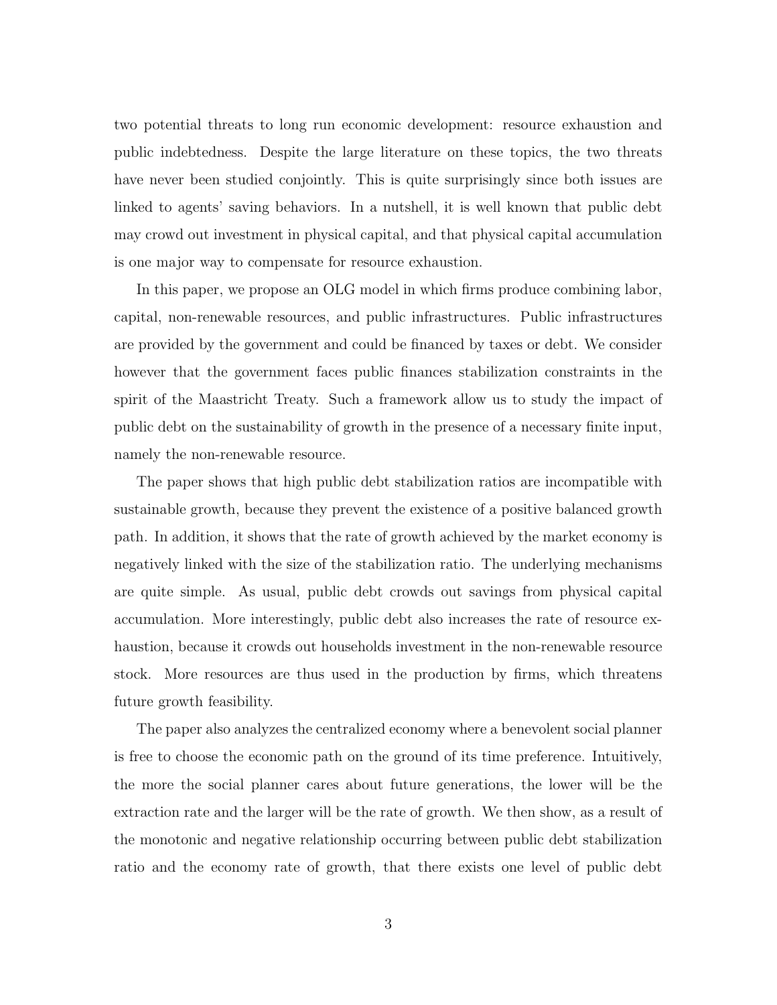two potential threats to long run economic development: resource exhaustion and public indebtedness. Despite the large literature on these topics, the two threats have never been studied conjointly. This is quite surprisingly since both issues are linked to agents' saving behaviors. In a nutshell, it is well known that public debt may crowd out investment in physical capital, and that physical capital accumulation is one major way to compensate for resource exhaustion.

In this paper, we propose an OLG model in which firms produce combining labor, capital, non-renewable resources, and public infrastructures. Public infrastructures are provided by the government and could be financed by taxes or debt. We consider however that the government faces public finances stabilization constraints in the spirit of the Maastricht Treaty. Such a framework allow us to study the impact of public debt on the sustainability of growth in the presence of a necessary finite input, namely the non-renewable resource.

The paper shows that high public debt stabilization ratios are incompatible with sustainable growth, because they prevent the existence of a positive balanced growth path. In addition, it shows that the rate of growth achieved by the market economy is negatively linked with the size of the stabilization ratio. The underlying mechanisms are quite simple. As usual, public debt crowds out savings from physical capital accumulation. More interestingly, public debt also increases the rate of resource exhaustion, because it crowds out households investment in the non-renewable resource stock. More resources are thus used in the production by firms, which threatens future growth feasibility.

The paper also analyzes the centralized economy where a benevolent social planner is free to choose the economic path on the ground of its time preference. Intuitively, the more the social planner cares about future generations, the lower will be the extraction rate and the larger will be the rate of growth. We then show, as a result of the monotonic and negative relationship occurring between public debt stabilization ratio and the economy rate of growth, that there exists one level of public debt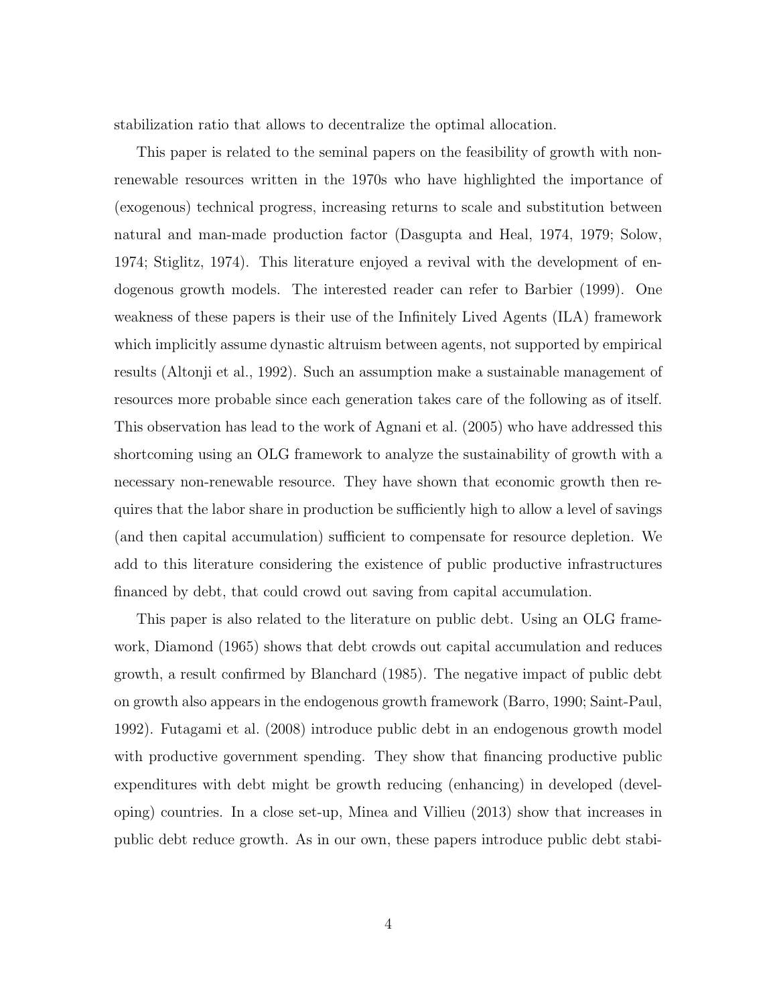stabilization ratio that allows to decentralize the optimal allocation.

This paper is related to the seminal papers on the feasibility of growth with nonrenewable resources written in the 1970s who have highlighted the importance of (exogenous) technical progress, increasing returns to scale and substitution between natural and man-made production factor (Dasgupta and Heal, 1974, 1979; Solow, 1974; Stiglitz, 1974). This literature enjoyed a revival with the development of endogenous growth models. The interested reader can refer to Barbier (1999). One weakness of these papers is their use of the Infinitely Lived Agents (ILA) framework which implicitly assume dynastic altruism between agents, not supported by empirical results (Altonji et al., 1992). Such an assumption make a sustainable management of resources more probable since each generation takes care of the following as of itself. This observation has lead to the work of Agnani et al. (2005) who have addressed this shortcoming using an OLG framework to analyze the sustainability of growth with a necessary non-renewable resource. They have shown that economic growth then requires that the labor share in production be sufficiently high to allow a level of savings (and then capital accumulation) sufficient to compensate for resource depletion. We add to this literature considering the existence of public productive infrastructures financed by debt, that could crowd out saving from capital accumulation.

This paper is also related to the literature on public debt. Using an OLG framework, Diamond (1965) shows that debt crowds out capital accumulation and reduces growth, a result confirmed by Blanchard (1985). The negative impact of public debt on growth also appears in the endogenous growth framework (Barro, 1990; Saint-Paul, 1992). Futagami et al. (2008) introduce public debt in an endogenous growth model with productive government spending. They show that financing productive public expenditures with debt might be growth reducing (enhancing) in developed (developing) countries. In a close set-up, Minea and Villieu (2013) show that increases in public debt reduce growth. As in our own, these papers introduce public debt stabi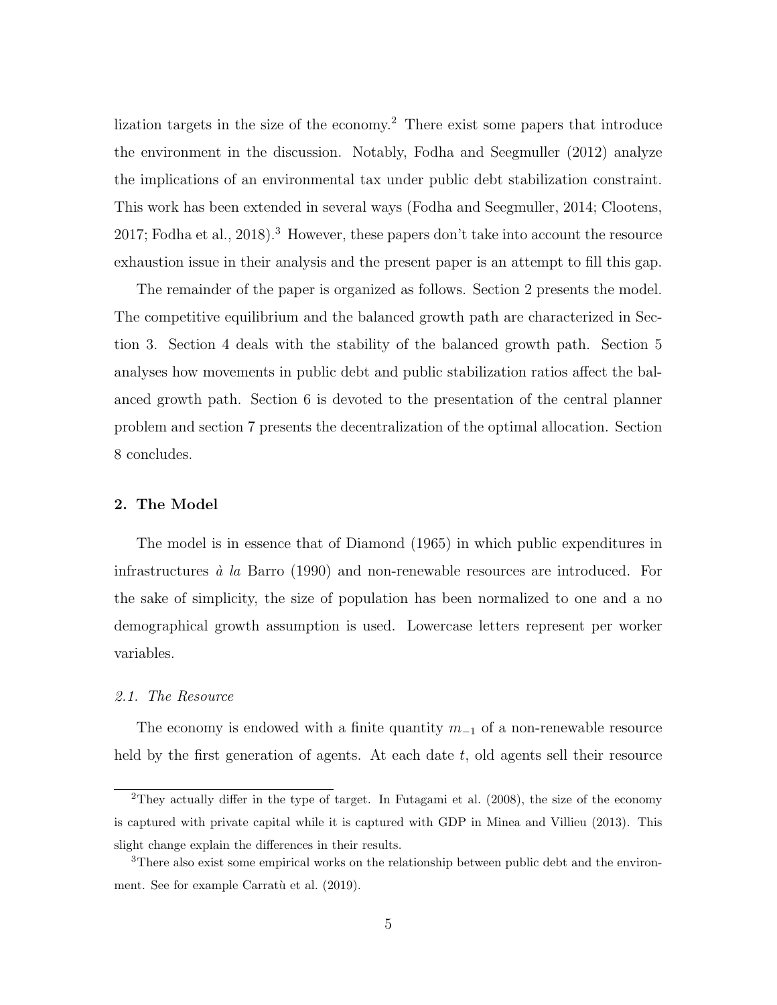lization targets in the size of the economy.<sup>2</sup> There exist some papers that introduce the environment in the discussion. Notably, Fodha and Seegmuller (2012) analyze the implications of an environmental tax under public debt stabilization constraint. This work has been extended in several ways (Fodha and Seegmuller, 2014; Clootens, 2017; Fodha et al., 2018).<sup>3</sup> However, these papers don't take into account the resource exhaustion issue in their analysis and the present paper is an attempt to fill this gap.

The remainder of the paper is organized as follows. Section 2 presents the model. The competitive equilibrium and the balanced growth path are characterized in Section 3. Section 4 deals with the stability of the balanced growth path. Section 5 analyses how movements in public debt and public stabilization ratios affect the balanced growth path. Section 6 is devoted to the presentation of the central planner problem and section 7 presents the decentralization of the optimal allocation. Section 8 concludes.

#### 2. The Model

The model is in essence that of Diamond (1965) in which public expenditures in infrastructures  $\dot{a}$  la Barro (1990) and non-renewable resources are introduced. For the sake of simplicity, the size of population has been normalized to one and a no demographical growth assumption is used. Lowercase letters represent per worker variables.

#### 2.1. The Resource

The economy is endowed with a finite quantity  $m_{-1}$  of a non-renewable resource held by the first generation of agents. At each date  $t$ , old agents sell their resource

<sup>&</sup>lt;sup>2</sup>They actually differ in the type of target. In Futagami et al.  $(2008)$ , the size of the economy is captured with private capital while it is captured with GDP in Minea and Villieu (2013). This slight change explain the differences in their results.

<sup>3</sup>There also exist some empirical works on the relationship between public debt and the environment. See for example Carratù et al. (2019).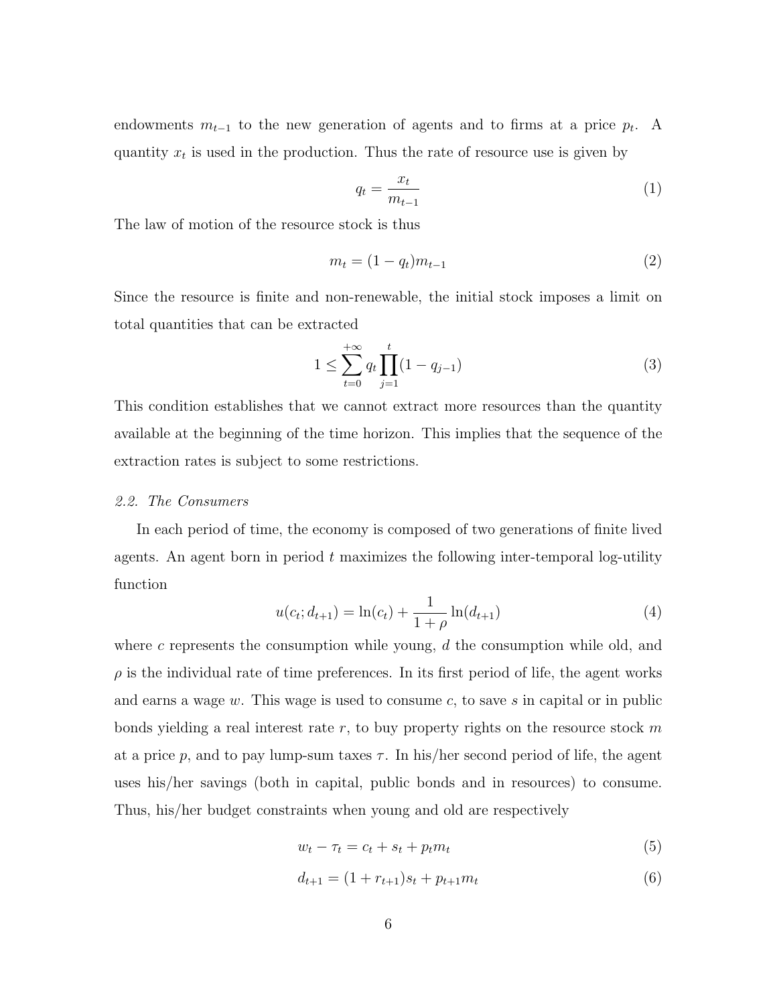endowments  $m_{t-1}$  to the new generation of agents and to firms at a price  $p_t$ . A quantity  $x_t$  is used in the production. Thus the rate of resource use is given by

$$
q_t = \frac{x_t}{m_{t-1}}\tag{1}
$$

The law of motion of the resource stock is thus

$$
m_t = (1 - q_t)m_{t-1}
$$
\n(2)

Since the resource is finite and non-renewable, the initial stock imposes a limit on total quantities that can be extracted

$$
1 \le \sum_{t=0}^{+\infty} q_t \prod_{j=1}^t (1 - q_{j-1}) \tag{3}
$$

This condition establishes that we cannot extract more resources than the quantity available at the beginning of the time horizon. This implies that the sequence of the extraction rates is subject to some restrictions.

#### 2.2. The Consumers

In each period of time, the economy is composed of two generations of finite lived agents. An agent born in period  $t$  maximizes the following inter-temporal log-utility function

$$
u(c_t; d_{t+1}) = \ln(c_t) + \frac{1}{1+\rho} \ln(d_{t+1})
$$
\n(4)

where c represents the consumption while young,  $d$  the consumption while old, and  $\rho$  is the individual rate of time preferences. In its first period of life, the agent works and earns a wage  $w$ . This wage is used to consume  $c$ , to save  $s$  in capital or in public bonds yielding a real interest rate  $r$ , to buy property rights on the resource stock  $m$ at a price p, and to pay lump-sum taxes  $\tau$ . In his/her second period of life, the agent uses his/her savings (both in capital, public bonds and in resources) to consume. Thus, his/her budget constraints when young and old are respectively

$$
w_t - \tau_t = c_t + s_t + p_t m_t \tag{5}
$$

$$
d_{t+1} = (1 + r_{t+1})s_t + p_{t+1}m_t
$$
\n<sup>(6)</sup>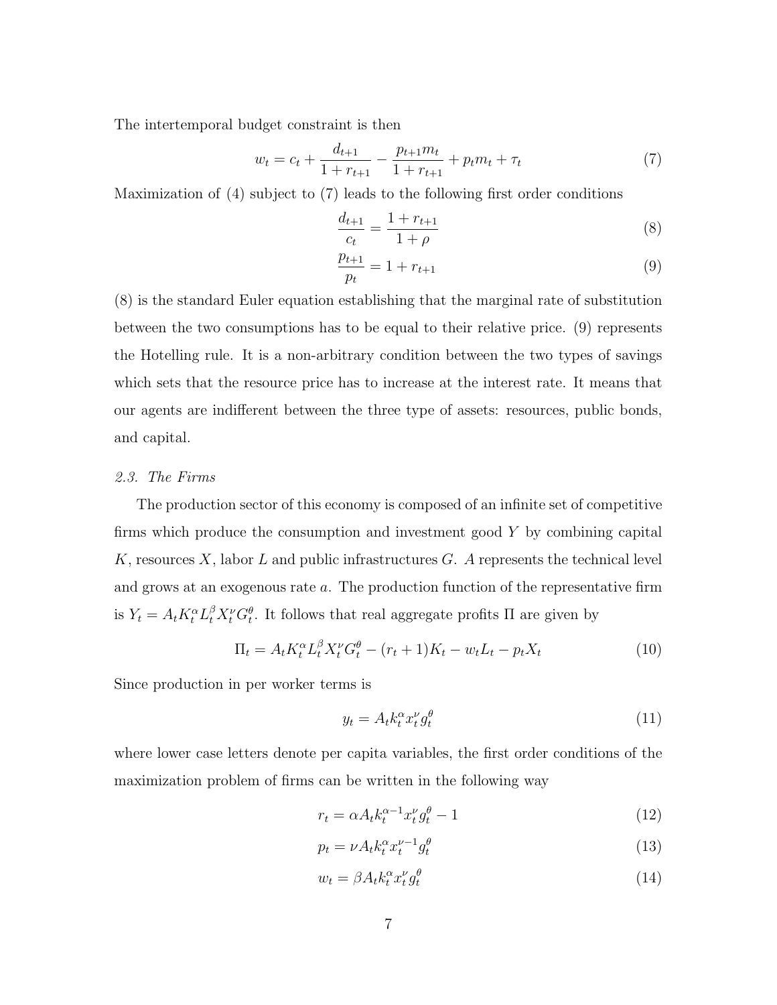The intertemporal budget constraint is then

$$
w_t = c_t + \frac{d_{t+1}}{1 + r_{t+1}} - \frac{p_{t+1}m_t}{1 + r_{t+1}} + p_t m_t + \tau_t
$$
\n<sup>(7)</sup>

Maximization of (4) subject to (7) leads to the following first order conditions

$$
\frac{d_{t+1}}{c_t} = \frac{1 + r_{t+1}}{1 + \rho} \tag{8}
$$

$$
\frac{p_{t+1}}{p_t} = 1 + r_{t+1} \tag{9}
$$

(8) is the standard Euler equation establishing that the marginal rate of substitution between the two consumptions has to be equal to their relative price. (9) represents the Hotelling rule. It is a non-arbitrary condition between the two types of savings which sets that the resource price has to increase at the interest rate. It means that our agents are indifferent between the three type of assets: resources, public bonds, and capital.

#### 2.3. The Firms

The production sector of this economy is composed of an infinite set of competitive firms which produce the consumption and investment good Y by combining capital K, resources X, labor L and public infrastructures  $G$ . A represents the technical level and grows at an exogenous rate a. The production function of the representative firm is  $Y_t = A_t K_t^{\alpha} L_t^{\beta} X_t^{\nu} G_t^{\theta}$ . It follows that real aggregate profits  $\Pi$  are given by

$$
\Pi_t = A_t K_t^{\alpha} L_t^{\beta} X_t^{\nu} G_t^{\theta} - (r_t + 1) K_t - w_t L_t - p_t X_t \tag{10}
$$

Since production in per worker terms is

$$
y_t = A_t k_t^{\alpha} x_t^{\nu} g_t^{\theta} \tag{11}
$$

where lower case letters denote per capita variables, the first order conditions of the maximization problem of firms can be written in the following way

$$
r_t = \alpha A_t k_t^{\alpha - 1} x_t^{\nu} g_t^{\theta} - 1 \tag{12}
$$

$$
p_t = \nu A_t k_t^{\alpha} x_t^{\nu - 1} g_t^{\theta} \tag{13}
$$

$$
w_t = \beta A_t k_t^{\alpha} x_t^{\nu} g_t^{\theta} \tag{14}
$$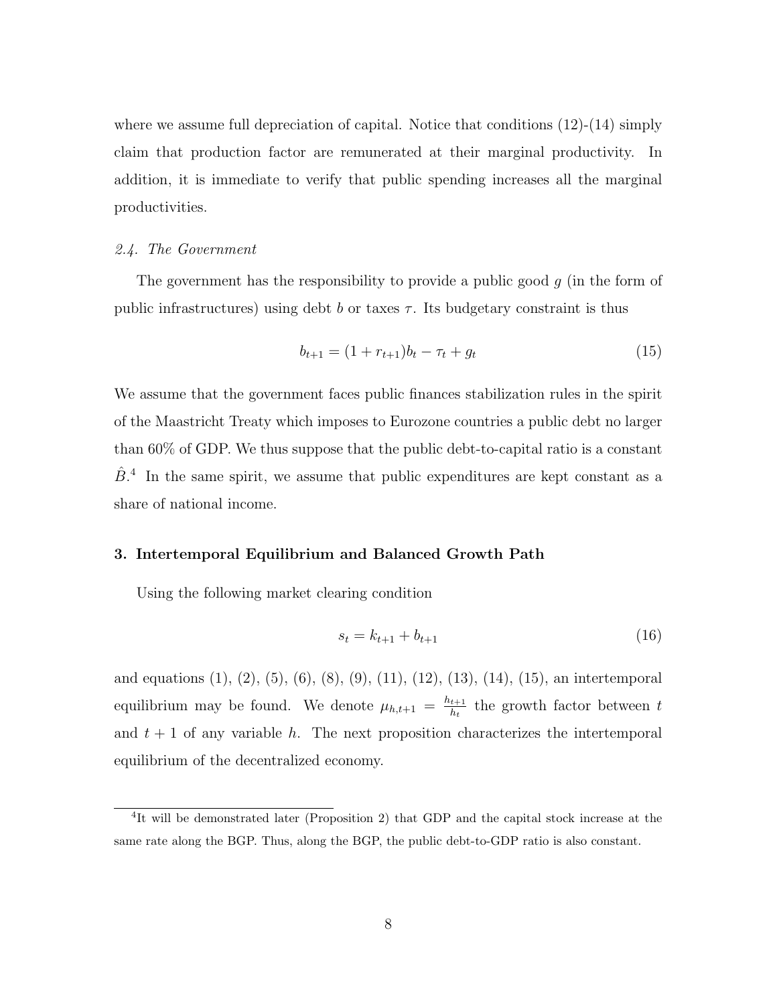where we assume full depreciation of capital. Notice that conditions  $(12)-(14)$  simply claim that production factor are remunerated at their marginal productivity. In addition, it is immediate to verify that public spending increases all the marginal productivities.

#### 2.4. The Government

The government has the responsibility to provide a public good q (in the form of public infrastructures) using debt b or taxes  $\tau$ . Its budgetary constraint is thus

$$
b_{t+1} = (1 + r_{t+1})b_t - \tau_t + g_t \tag{15}
$$

We assume that the government faces public finances stabilization rules in the spirit of the Maastricht Treaty which imposes to Eurozone countries a public debt no larger than 60% of GDP. We thus suppose that the public debt-to-capital ratio is a constant  $\hat{B}$ <sup>4</sup>. In the same spirit, we assume that public expenditures are kept constant as a share of national income.

#### 3. Intertemporal Equilibrium and Balanced Growth Path

Using the following market clearing condition

$$
s_t = k_{t+1} + b_{t+1} \tag{16}
$$

and equations (1), (2), (5), (6), (8), (9), (11), (12), (13), (14), (15), an intertemporal equilibrium may be found. We denote  $\mu_{h,t+1} = \frac{h_{t+1}}{h_t}$  $\frac{t+1}{h_t}$  the growth factor between t and  $t + 1$  of any variable h. The next proposition characterizes the intertemporal equilibrium of the decentralized economy.

<sup>&</sup>lt;sup>4</sup>It will be demonstrated later (Proposition 2) that GDP and the capital stock increase at the same rate along the BGP. Thus, along the BGP, the public debt-to-GDP ratio is also constant.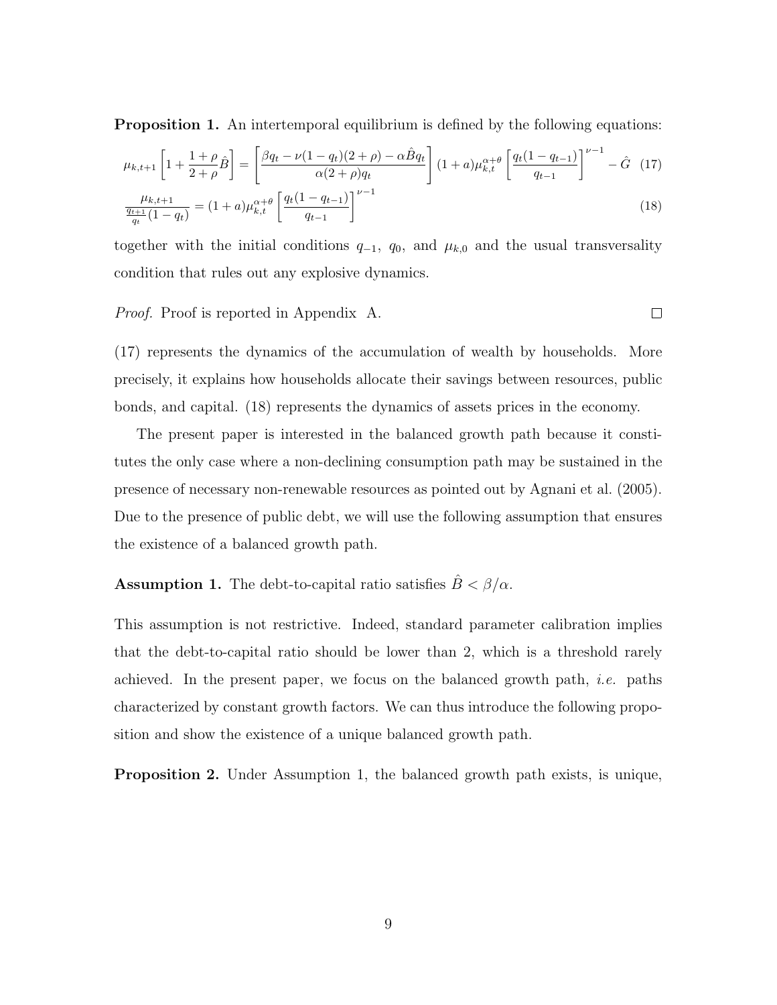**Proposition 1.** An intertemporal equilibrium is defined by the following equations:

$$
\mu_{k,t+1} \left[ 1 + \frac{1+\rho}{2+\rho} \hat{B} \right] = \left[ \frac{\beta q_t - \nu (1-q_t)(2+\rho) - \alpha \hat{B} q_t}{\alpha (2+\rho) q_t} \right] (1+a) \mu_{k,t}^{\alpha+\theta} \left[ \frac{q_t (1-q_{t-1})}{q_{t-1}} \right]^{\nu-1} - \hat{G} \quad (17)
$$
\n
$$
\mu_{k,t+1} \left[ (1+\rho) \frac{\alpha+\theta}{\theta} \left[ q_t (1-q_{t-1}) \right]^{\nu-1} \right] \tag{18}
$$

$$
\frac{\mu_{k,t+1}}{\frac{q_{t+1}}{q_t}(1-q_t)} = (1+a)\mu_{k,t}^{\alpha+\theta} \left[ \frac{q_t(1-q_{t-1})}{q_{t-1}} \right]^{\nu-1} \tag{18}
$$

together with the initial conditions  $q_{-1}$ ,  $q_0$ , and  $\mu_{k,0}$  and the usual transversality condition that rules out any explosive dynamics.

#### Proof. Proof is reported in Appendix A.

(17) represents the dynamics of the accumulation of wealth by households. More precisely, it explains how households allocate their savings between resources, public bonds, and capital. (18) represents the dynamics of assets prices in the economy.

The present paper is interested in the balanced growth path because it constitutes the only case where a non-declining consumption path may be sustained in the presence of necessary non-renewable resources as pointed out by Agnani et al. (2005). Due to the presence of public debt, we will use the following assumption that ensures the existence of a balanced growth path.

## **Assumption 1.** The debt-to-capital ratio satisfies  $\hat{B} < \beta/\alpha$ .

This assumption is not restrictive. Indeed, standard parameter calibration implies that the debt-to-capital ratio should be lower than 2, which is a threshold rarely achieved. In the present paper, we focus on the balanced growth path, *i.e.* paths characterized by constant growth factors. We can thus introduce the following proposition and show the existence of a unique balanced growth path.

Proposition 2. Under Assumption 1, the balanced growth path exists, is unique,

 $\Box$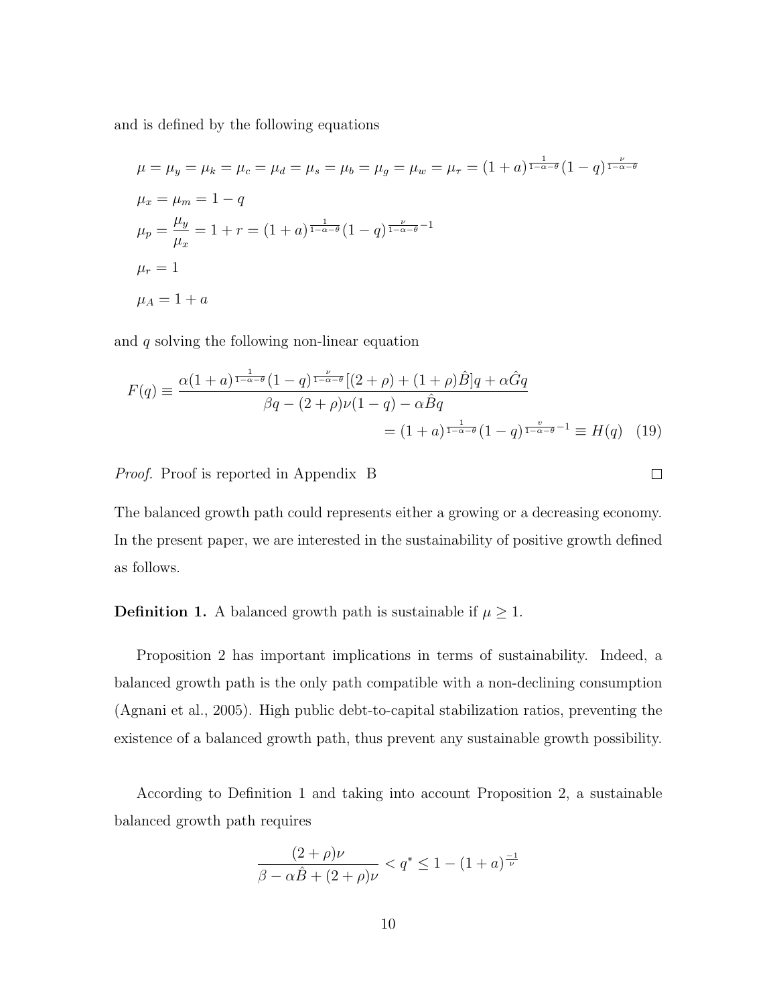and is defined by the following equations

$$
\mu = \mu_y = \mu_k = \mu_c = \mu_d = \mu_s = \mu_b = \mu_g = \mu_w = \mu_\tau = (1+a)^{\frac{1}{1-\alpha-\theta}} (1-q)^{\frac{\nu}{1-\alpha-\theta}}
$$
  
\n
$$
\mu_x = \mu_m = 1 - q
$$
  
\n
$$
\mu_p = \frac{\mu_y}{\mu_x} = 1 + r = (1+a)^{\frac{1}{1-\alpha-\theta}} (1-q)^{\frac{\nu}{1-\alpha-\theta}-1}
$$
  
\n
$$
\mu_r = 1
$$
  
\n
$$
\mu_A = 1 + a
$$

and q solving the following non-linear equation

$$
F(q) \equiv \frac{\alpha (1+a)^{\frac{1}{1-\alpha-\theta}} (1-q)^{\frac{\nu}{1-\alpha-\theta}} [(2+\rho)+(1+\rho)\hat{B}]q + \alpha \hat{G}q}{\beta q - (2+\rho)\nu(1-q) - \alpha \hat{B}q}
$$
  
=  $(1+a)^{\frac{1}{1-\alpha-\theta}} (1-q)^{\frac{\nu}{1-\alpha-\theta}-1} \equiv H(q)$  (19)

 $\Box$ 

Proof. Proof is reported in Appendix B

The balanced growth path could represents either a growing or a decreasing economy. In the present paper, we are interested in the sustainability of positive growth defined as follows.

**Definition 1.** A balanced growth path is sustainable if  $\mu \geq 1$ .

Proposition 2 has important implications in terms of sustainability. Indeed, a balanced growth path is the only path compatible with a non-declining consumption (Agnani et al., 2005). High public debt-to-capital stabilization ratios, preventing the existence of a balanced growth path, thus prevent any sustainable growth possibility.

According to Definition 1 and taking into account Proposition 2, a sustainable balanced growth path requires

$$
\frac{(2+\rho)\nu}{\beta - \alpha \hat{B} + (2+\rho)\nu} < q^* \le 1 - (1+a)^{\frac{-1}{\nu}}
$$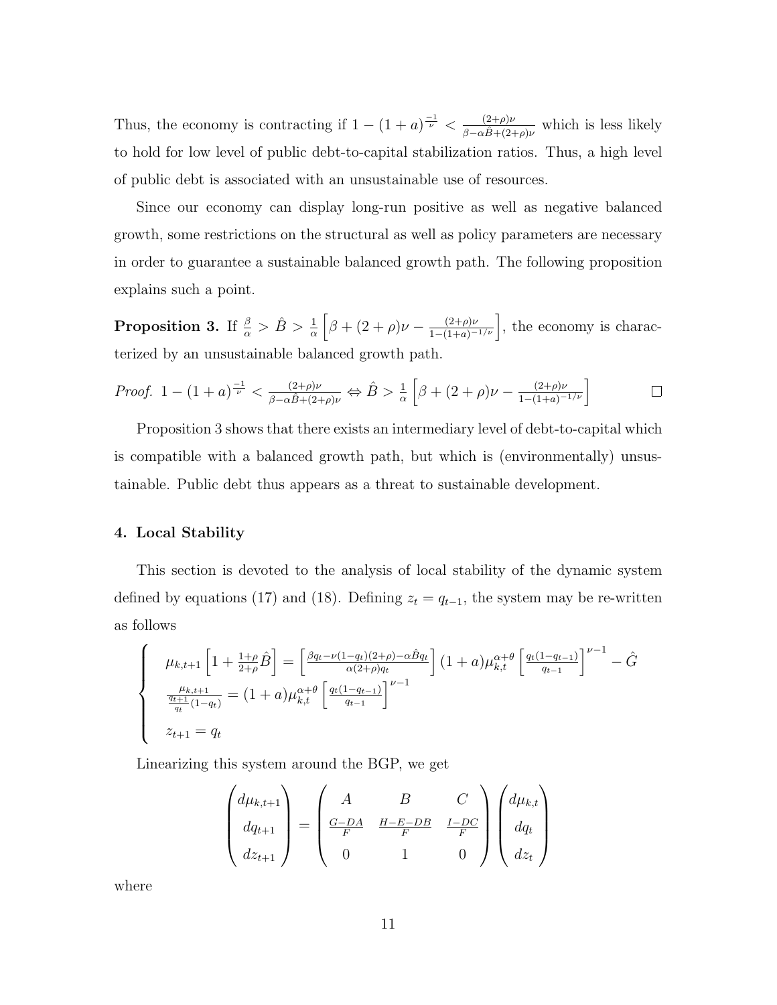Thus, the economy is contracting if  $1 - (1 + a)^{\frac{-1}{\nu}} < \frac{(2+\rho)\nu}{\rho}$  $\frac{(2+\rho)\nu}{\beta-\alpha\hat{B}+(2+\rho)\nu}$  which is less likely to hold for low level of public debt-to-capital stabilization ratios. Thus, a high level of public debt is associated with an unsustainable use of resources.

Since our economy can display long-run positive as well as negative balanced growth, some restrictions on the structural as well as policy parameters are necessary in order to guarantee a sustainable balanced growth path. The following proposition explains such a point.

**Proposition 3.** If  $\frac{\beta}{\alpha} > \hat{B} > \frac{1}{\alpha} \left[ \beta + (2+\rho)\nu - \frac{(2+\rho)\nu}{1-(1+a)^{-1/\nu}} \right]$ , the economy is characterized by an unsustainable balanced growth path.

*Proof.* 
$$
1 - (1 + a)^{\frac{-1}{\nu}} < \frac{(2+\rho)\nu}{\beta - \alpha \hat{B} + (2+\rho)\nu} \Leftrightarrow \hat{B} > \frac{1}{\alpha} \left[ \beta + (2+\rho)\nu - \frac{(2+\rho)\nu}{1 - (1+a)^{-1/\nu}} \right]
$$

Proposition 3 shows that there exists an intermediary level of debt-to-capital which is compatible with a balanced growth path, but which is (environmentally) unsustainable. Public debt thus appears as a threat to sustainable development.

#### 4. Local Stability

This section is devoted to the analysis of local stability of the dynamic system defined by equations (17) and (18). Defining  $z_t = q_{t-1}$ , the system may be re-written as follows

$$
\begin{cases}\n\mu_{k,t+1} \left[ 1 + \frac{1+\rho}{2+\rho} \hat{B} \right] = \left[ \frac{\beta q_t - \nu (1-q_t)(2+\rho) - \alpha \hat{B} q_t}{\alpha (2+\rho) q_t} \right] (1+a) \mu_{k,t}^{\alpha+\theta} \left[ \frac{q_t (1-q_{t-1})}{q_{t-1}} \right]^{\nu-1} - \hat{G} \\
\frac{\mu_{k,t+1}}{q_t} (1-q_t) = (1+a) \mu_{k,t}^{\alpha+\theta} \left[ \frac{q_t (1-q_{t-1})}{q_{t-1}} \right]^{\nu-1} \\
z_{t+1} = q_t\n\end{cases}
$$

Linearizing this system around the BGP, we get

$$
\begin{pmatrix} d\mu_{k,t+1} \\ dq_{t+1} \\ dz_{t+1} \end{pmatrix} = \begin{pmatrix} A & B & C \\ \frac{G-DA}{F} & \frac{H-E-DB}{F} & \frac{I-DC}{F} \\ 0 & 1 & 0 \end{pmatrix} \begin{pmatrix} d\mu_{k,t} \\ dq_t \\ dz_t \end{pmatrix}
$$

where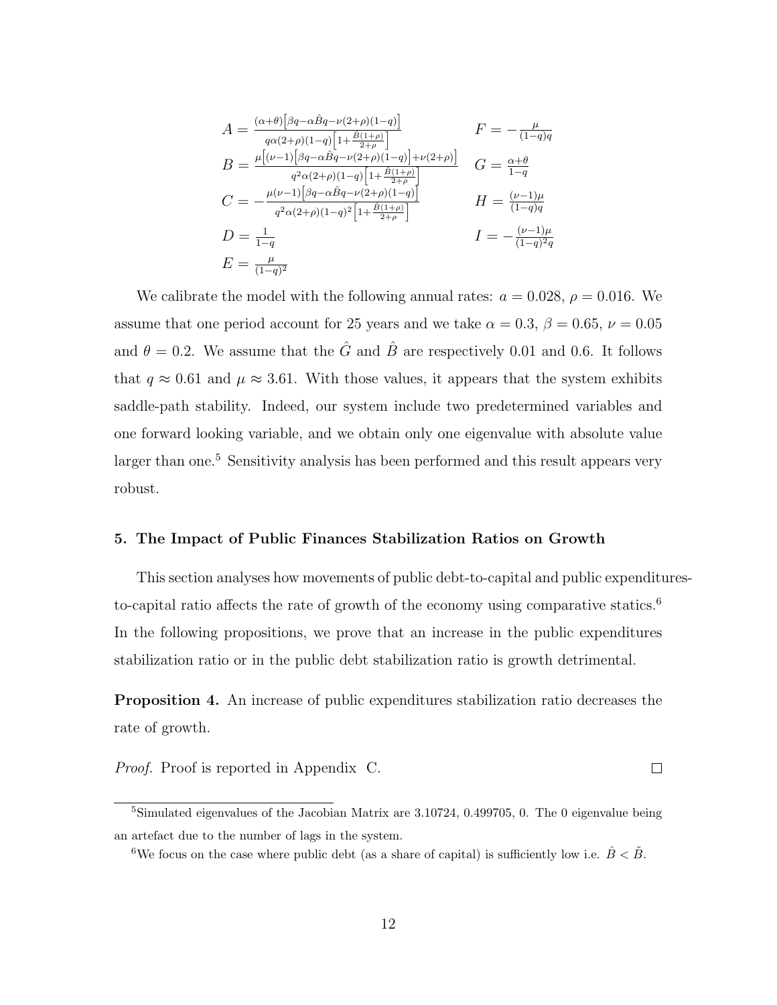$$
A = \frac{(\alpha + \theta) \left[ \beta q - \alpha \hat{B} q - \nu (2 + \rho)(1 - q) \right]}{q \alpha (2 + \rho)(1 - q) \left[ 1 + \frac{\hat{B}(1 + \rho)}{2 + \rho} \right]} \qquad F = -\frac{\mu}{(1 - q)q}
$$
  
\n
$$
B = \frac{\mu \left[ (\nu - 1) \left[ \beta q - \alpha \hat{B} q - \nu (2 + \rho)(1 - q) \right] + \nu (2 + \rho) \right]}{q^2 \alpha (2 + \rho)(1 - q) \left[ 1 + \frac{\hat{B}(1 + \rho)}{2 + \rho} \right]} \qquad G = \frac{\alpha + \theta}{1 - q}
$$
  
\n
$$
C = -\frac{\mu (\nu - 1) \left[ \beta q - \alpha \hat{B} q - \nu (2 + \rho)(1 - q) \right]}{q^2 \alpha (2 + \rho)(1 - q)^2 \left[ 1 + \frac{\hat{B}(1 + \rho)}{2 + \rho} \right]} \qquad H = \frac{(\nu - 1)\mu}{(1 - q)q}
$$
  
\n
$$
D = \frac{1}{1 - q} \qquad I = -\frac{(\nu - 1)\mu}{(1 - q)^2 q}
$$
  
\n
$$
E = \frac{\mu}{(1 - q)^2}
$$

We calibrate the model with the following annual rates:  $a = 0.028$ ,  $\rho = 0.016$ . We assume that one period account for 25 years and we take  $\alpha = 0.3$ ,  $\beta = 0.65$ ,  $\nu = 0.05$ and  $\theta = 0.2$ . We assume that the  $\hat{G}$  and  $\hat{B}$  are respectively 0.01 and 0.6. It follows that  $q \approx 0.61$  and  $\mu \approx 3.61$ . With those values, it appears that the system exhibits saddle-path stability. Indeed, our system include two predetermined variables and one forward looking variable, and we obtain only one eigenvalue with absolute value larger than one.<sup>5</sup> Sensitivity analysis has been performed and this result appears very robust.

#### 5. The Impact of Public Finances Stabilization Ratios on Growth

This section analyses how movements of public debt-to-capital and public expendituresto-capital ratio affects the rate of growth of the economy using comparative statics.<sup>6</sup> In the following propositions, we prove that an increase in the public expenditures stabilization ratio or in the public debt stabilization ratio is growth detrimental.

Proposition 4. An increase of public expenditures stabilization ratio decreases the rate of growth.

*Proof.* Proof is reported in Appendix C. 
$$
\Box
$$

<sup>5</sup>Simulated eigenvalues of the Jacobian Matrix are 3.10724, 0.499705, 0. The 0 eigenvalue being an artefact due to the number of lags in the system.

<sup>&</sup>lt;sup>6</sup>We focus on the case where public debt (as a share of capital) is sufficiently low i.e.  $\hat{B} < \tilde{B}$ .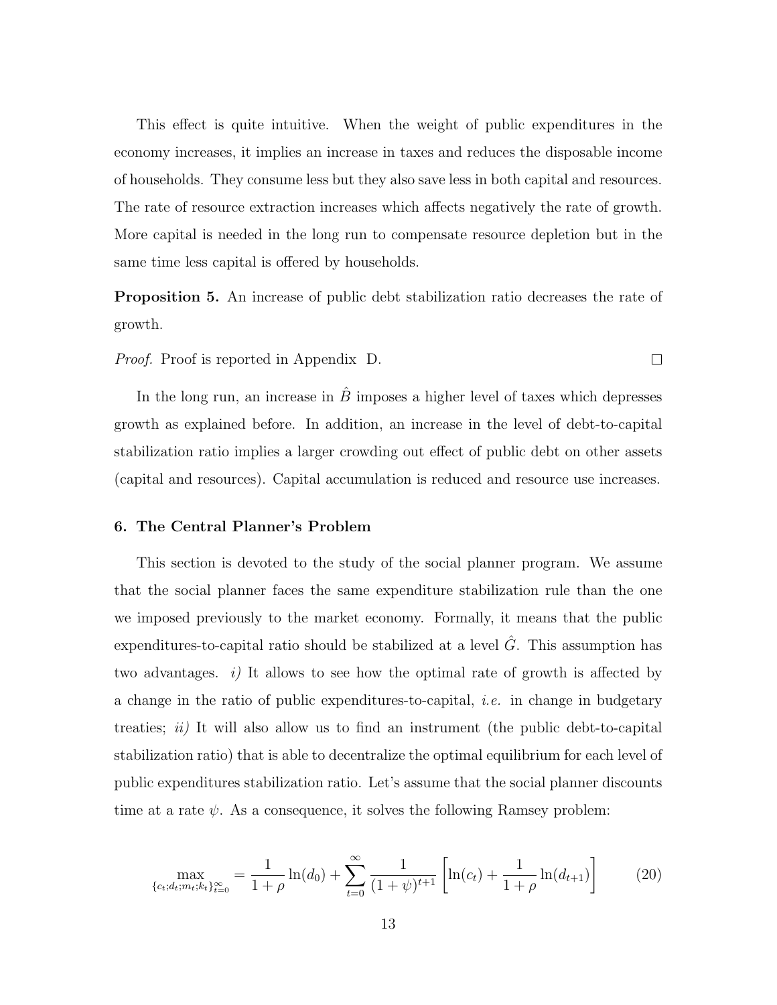This effect is quite intuitive. When the weight of public expenditures in the economy increases, it implies an increase in taxes and reduces the disposable income of households. They consume less but they also save less in both capital and resources. The rate of resource extraction increases which affects negatively the rate of growth. More capital is needed in the long run to compensate resource depletion but in the same time less capital is offered by households.

Proposition 5. An increase of public debt stabilization ratio decreases the rate of growth.

 $\Box$ 

Proof. Proof is reported in Appendix D.

In the long run, an increase in  $\hat{B}$  imposes a higher level of taxes which depresses growth as explained before. In addition, an increase in the level of debt-to-capital stabilization ratio implies a larger crowding out effect of public debt on other assets (capital and resources). Capital accumulation is reduced and resource use increases.

#### 6. The Central Planner's Problem

This section is devoted to the study of the social planner program. We assume that the social planner faces the same expenditure stabilization rule than the one we imposed previously to the market economy. Formally, it means that the public expenditures-to-capital ratio should be stabilized at a level  $\tilde{G}$ . This assumption has two advantages. i) It allows to see how the optimal rate of growth is affected by a change in the ratio of public expenditures-to-capital, *i.e.* in change in budgetary treaties;  $ii)$  It will also allow us to find an instrument (the public debt-to-capital stabilization ratio) that is able to decentralize the optimal equilibrium for each level of public expenditures stabilization ratio. Let's assume that the social planner discounts time at a rate  $\psi$ . As a consequence, it solves the following Ramsey problem:

$$
\max_{\{c_t; d_t; m_t; k_t\}_{t=0}^{\infty}} = \frac{1}{1+\rho} \ln(d_0) + \sum_{t=0}^{\infty} \frac{1}{(1+\psi)^{t+1}} \left[ \ln(c_t) + \frac{1}{1+\rho} \ln(d_{t+1}) \right]
$$
(20)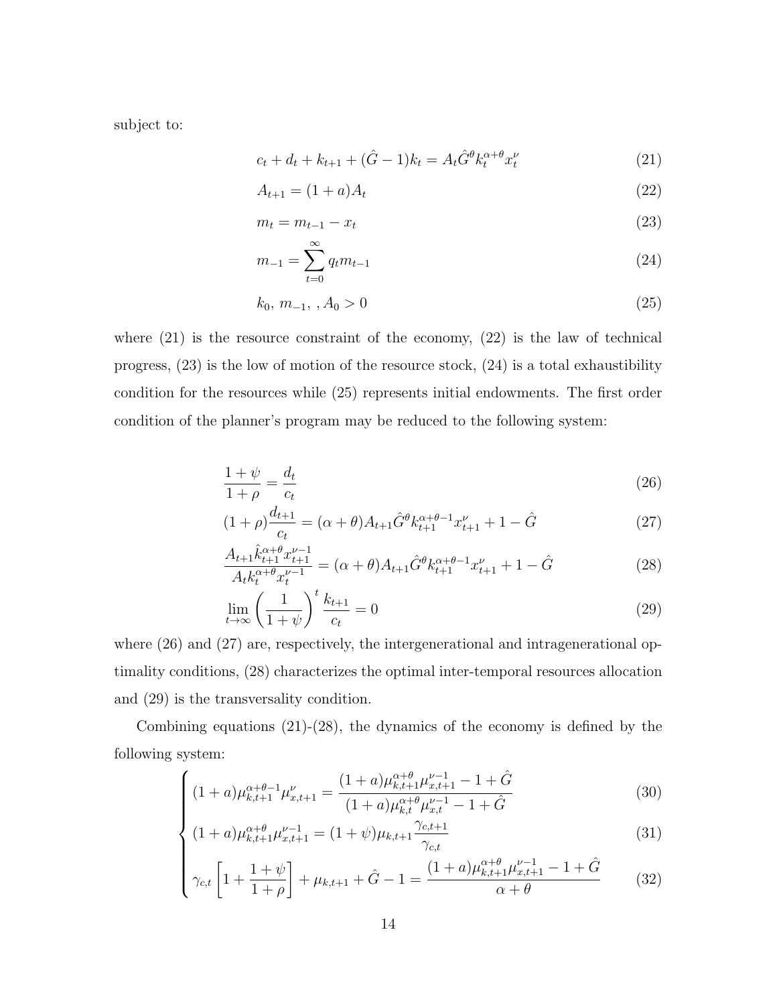subject to:

$$
c_t + d_t + k_{t+1} + (\hat{G} - 1)k_t = A_t \hat{G}^\theta k_t^{\alpha + \theta} x_t^{\nu}
$$
\n(21)

$$
A_{t+1} = (1+a)A_t \t\t(22)
$$

$$
m_t = m_{t-1} - x_t \t\t(23)
$$

$$
m_{-1} = \sum_{t=0}^{\infty} q_t m_{t-1}
$$
 (24)

$$
k_0, m_{-1}, , A_0 > 0 \tag{25}
$$

where  $(21)$  is the resource constraint of the economy,  $(22)$  is the law of technical progress, (23) is the low of motion of the resource stock, (24) is a total exhaustibility condition for the resources while (25) represents initial endowments. The first order condition of the planner's program may be reduced to the following system:

$$
\frac{1+\psi}{1+\rho} = \frac{d_t}{c_t} \tag{26}
$$

$$
(1+\rho)\frac{d_{t+1}}{c_t} = (\alpha+\theta)A_{t+1}\hat{G}^{\theta}k_{t+1}^{\alpha+\theta-1}x_{t+1}^{\nu} + 1 - \hat{G}
$$
\n(27)

$$
\frac{A_{t+1}\hat{k}_{t+1}^{\alpha+\theta}x_{t+1}^{\nu-1}}{A_t k_t^{\alpha+\theta}x_t^{\nu-1}} = (\alpha+\theta)A_{t+1}\hat{G}^{\theta}k_{t+1}^{\alpha+\theta-1}x_{t+1}^{\nu} + 1 - \hat{G}
$$
\n(28)

$$
\lim_{t \to \infty} \left(\frac{1}{1+\psi}\right)^t \frac{k_{t+1}}{c_t} = 0 \tag{29}
$$

where  $(26)$  and  $(27)$  are, respectively, the intergenerational and intragenerational optimality conditions, (28) characterizes the optimal inter-temporal resources allocation and (29) is the transversality condition.

Combining equations  $(21)-(28)$ , the dynamics of the economy is defined by the following system:

$$
\left( (1+a)\mu_{k,t+1}^{\alpha+\theta-1} \mu_{x,t+1}^{\nu} = \frac{(1+a)\mu_{k,t+1}^{\alpha+\theta} \mu_{x,t+1}^{\nu-1} - 1 + \hat{G}}{(1+a)\mu_{k,t}^{\alpha+\theta} \mu_{x,t}^{\nu-1} - 1 + \hat{G}} \right)
$$
(30)

$$
\begin{cases}\n(1+a)\mu_{k,t+1}^{\alpha+\theta-1}\mu_{x,t+1}^{\nu} = \frac{(1+a)\mu_{k,t+1}^{\alpha+\theta}\mu_{x,t+1}^{\nu-1} - 1 + \hat{G}}{(1+a)\mu_{k,t}^{\alpha+\theta}\mu_{x,t}^{\nu-1} - 1 + \hat{G}} \\
(1+a)\mu_{k,t+1}^{\alpha+\theta}\mu_{x,t+1}^{\nu-1} = (1+\psi)\mu_{k,t+1}\frac{\gamma_{c,t+1}}{\gamma_{c,t}}\n\end{cases}
$$
\n(30)

$$
\begin{cases}\n\gamma_{c,t}\left[1+\frac{1+\psi}{1+\rho}\right] + \mu_{k,t+1} + \hat{G} - 1 = \frac{(1+a)\mu_{k,t+1}^{\alpha+\theta}\mu_{x,t+1}^{\nu-1} - 1 + \hat{G}}{\alpha+\theta}\n\end{cases}
$$
\n(32)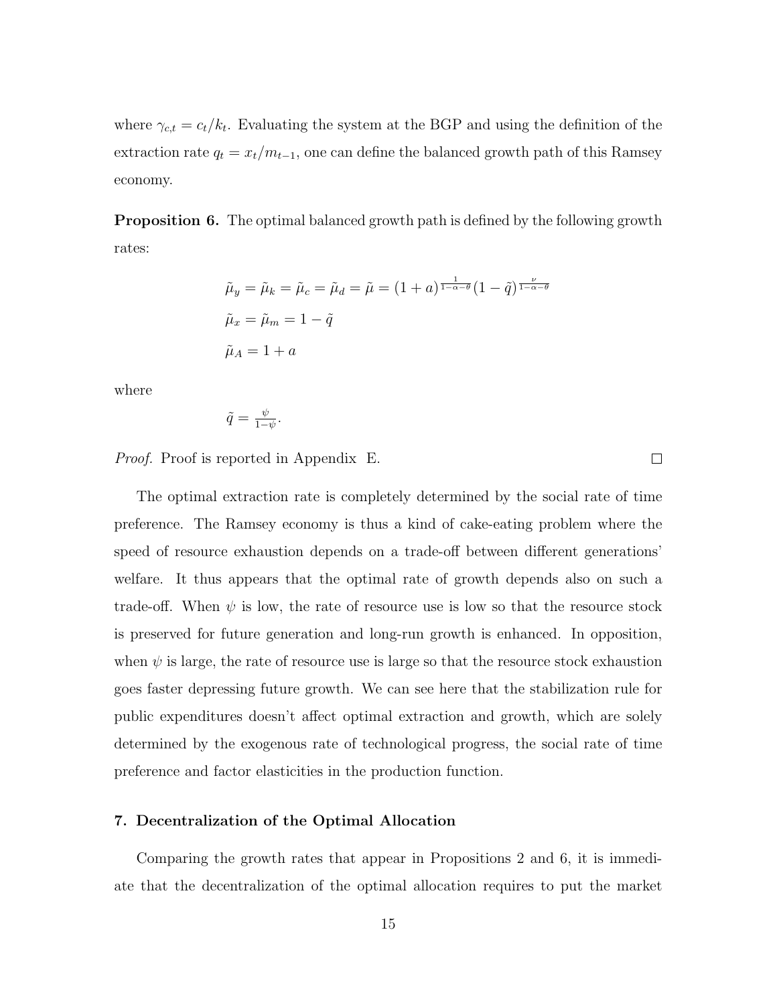where  $\gamma_{c,t} = c_t/k_t$ . Evaluating the system at the BGP and using the definition of the extraction rate  $q_t = x_t/m_{t-1}$ , one can define the balanced growth path of this Ramsey economy.

**Proposition 6.** The optimal balanced growth path is defined by the following growth rates:

$$
\tilde{\mu}_y = \tilde{\mu}_k = \tilde{\mu}_c = \tilde{\mu}_d = \tilde{\mu} = (1+a)^{\frac{1}{1-\alpha-\theta}} (1-\tilde{q})^{\frac{\nu}{1-\alpha-\theta}}
$$

$$
\tilde{\mu}_x = \tilde{\mu}_m = 1 - \tilde{q}
$$

$$
\tilde{\mu}_A = 1 + a
$$

where

$$
\tilde{q} = \frac{\psi}{1-\psi}.
$$

Proof. Proof is reported in Appendix E.

The optimal extraction rate is completely determined by the social rate of time preference. The Ramsey economy is thus a kind of cake-eating problem where the speed of resource exhaustion depends on a trade-off between different generations' welfare. It thus appears that the optimal rate of growth depends also on such a trade-off. When  $\psi$  is low, the rate of resource use is low so that the resource stock is preserved for future generation and long-run growth is enhanced. In opposition, when  $\psi$  is large, the rate of resource use is large so that the resource stock exhaustion goes faster depressing future growth. We can see here that the stabilization rule for public expenditures doesn't affect optimal extraction and growth, which are solely determined by the exogenous rate of technological progress, the social rate of time preference and factor elasticities in the production function.

#### 7. Decentralization of the Optimal Allocation

Comparing the growth rates that appear in Propositions 2 and 6, it is immediate that the decentralization of the optimal allocation requires to put the market

 $\Box$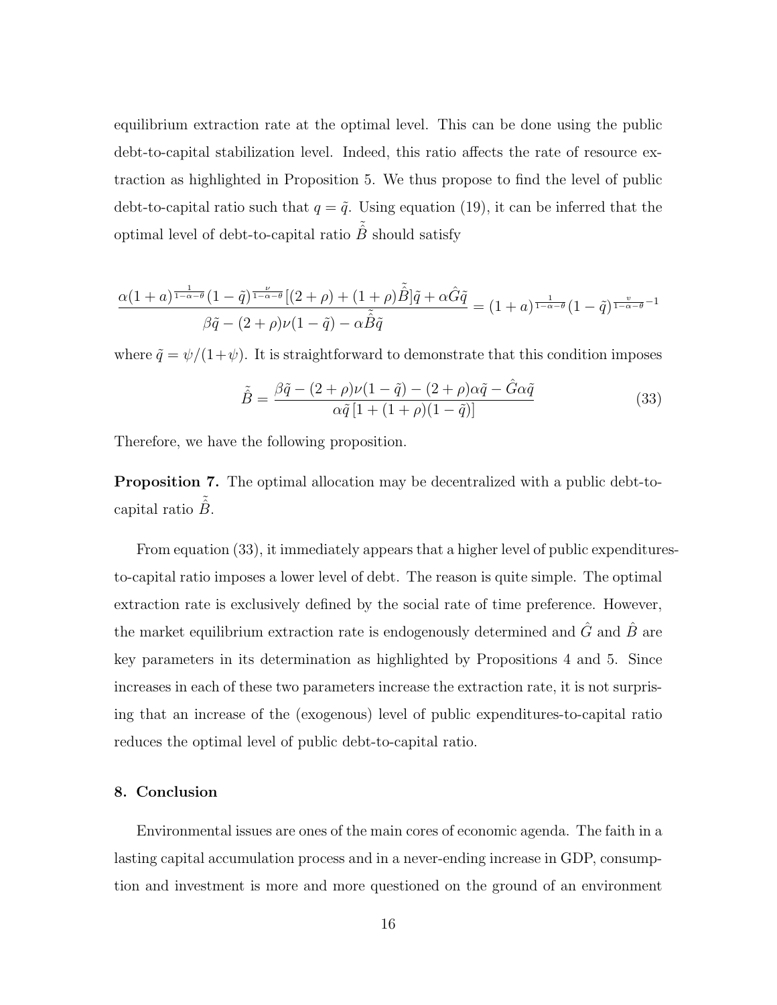equilibrium extraction rate at the optimal level. This can be done using the public debt-to-capital stabilization level. Indeed, this ratio affects the rate of resource extraction as highlighted in Proposition 5. We thus propose to find the level of public debt-to-capital ratio such that  $q = \tilde{q}$ . Using equation (19), it can be inferred that the optimal level of debt-to-capital ratio  $\tilde{\hat{B}}$  should satisfy

$$
\frac{\alpha(1+a)^{\frac{1}{1-\alpha-\theta}}(1-\tilde{q})^{\frac{\nu}{1-\alpha-\theta}}[(2+\rho)+(1+\rho)\tilde{\hat{B}}]\tilde{q}+\alpha \hat{G}\tilde{q}}{\beta\tilde{q}-(2+\rho)\nu(1-\tilde{q})-\alpha\tilde{\hat{B}}\tilde{q}}=(1+a)^{\frac{1}{1-\alpha-\theta}}(1-\tilde{q})^{\frac{\upsilon}{1-\alpha-\theta}-1}
$$

where  $\tilde{q} = \psi/(1+\psi)$ . It is straightforward to demonstrate that this condition imposes

$$
\tilde{\hat{B}} = \frac{\beta \tilde{q} - (2+\rho)\nu(1-\tilde{q}) - (2+\rho)\alpha \tilde{q} - \hat{G}\alpha \tilde{q}}{\alpha \tilde{q} \left[1 + (1+\rho)(1-\tilde{q})\right]}
$$
(33)

Therefore, we have the following proposition.

Proposition 7. The optimal allocation may be decentralized with a public debt-tocapital ratio  $\hat{B}$ .

From equation (33), it immediately appears that a higher level of public expendituresto-capital ratio imposes a lower level of debt. The reason is quite simple. The optimal extraction rate is exclusively defined by the social rate of time preference. However, the market equilibrium extraction rate is endogenously determined and  $\hat{G}$  and  $\hat{B}$  are key parameters in its determination as highlighted by Propositions 4 and 5. Since increases in each of these two parameters increase the extraction rate, it is not surprising that an increase of the (exogenous) level of public expenditures-to-capital ratio reduces the optimal level of public debt-to-capital ratio.

#### 8. Conclusion

Environmental issues are ones of the main cores of economic agenda. The faith in a lasting capital accumulation process and in a never-ending increase in GDP, consumption and investment is more and more questioned on the ground of an environment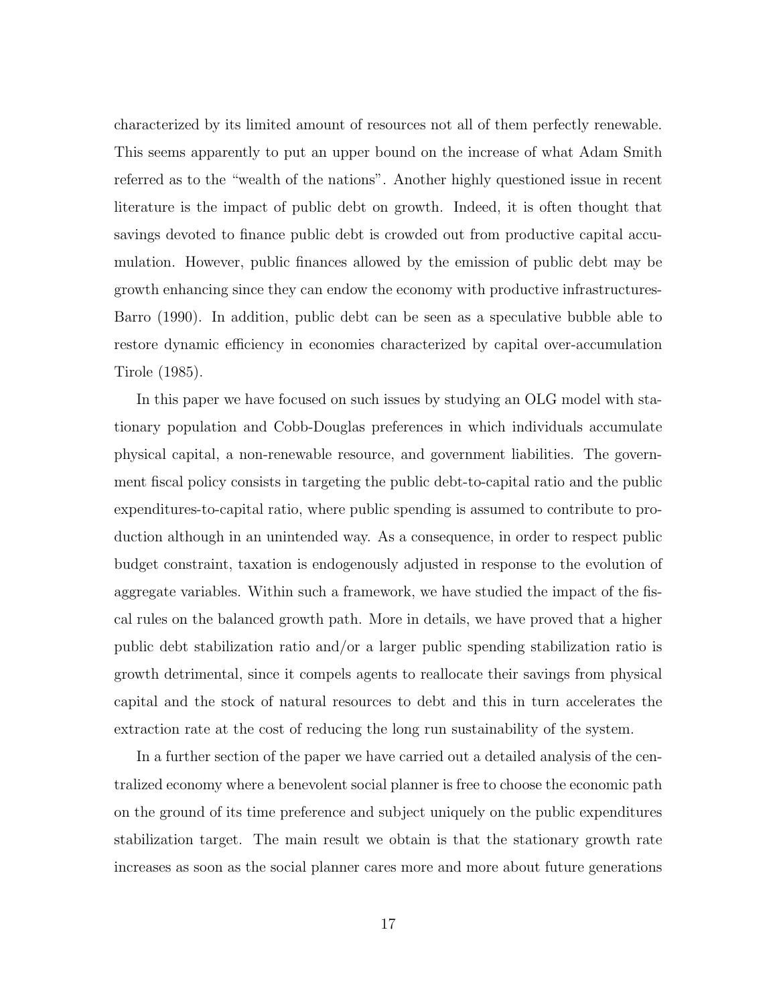characterized by its limited amount of resources not all of them perfectly renewable. This seems apparently to put an upper bound on the increase of what Adam Smith referred as to the "wealth of the nations". Another highly questioned issue in recent literature is the impact of public debt on growth. Indeed, it is often thought that savings devoted to finance public debt is crowded out from productive capital accumulation. However, public finances allowed by the emission of public debt may be growth enhancing since they can endow the economy with productive infrastructures-Barro (1990). In addition, public debt can be seen as a speculative bubble able to restore dynamic efficiency in economies characterized by capital over-accumulation Tirole (1985).

In this paper we have focused on such issues by studying an OLG model with stationary population and Cobb-Douglas preferences in which individuals accumulate physical capital, a non-renewable resource, and government liabilities. The government fiscal policy consists in targeting the public debt-to-capital ratio and the public expenditures-to-capital ratio, where public spending is assumed to contribute to production although in an unintended way. As a consequence, in order to respect public budget constraint, taxation is endogenously adjusted in response to the evolution of aggregate variables. Within such a framework, we have studied the impact of the fiscal rules on the balanced growth path. More in details, we have proved that a higher public debt stabilization ratio and/or a larger public spending stabilization ratio is growth detrimental, since it compels agents to reallocate their savings from physical capital and the stock of natural resources to debt and this in turn accelerates the extraction rate at the cost of reducing the long run sustainability of the system.

In a further section of the paper we have carried out a detailed analysis of the centralized economy where a benevolent social planner is free to choose the economic path on the ground of its time preference and subject uniquely on the public expenditures stabilization target. The main result we obtain is that the stationary growth rate increases as soon as the social planner cares more and more about future generations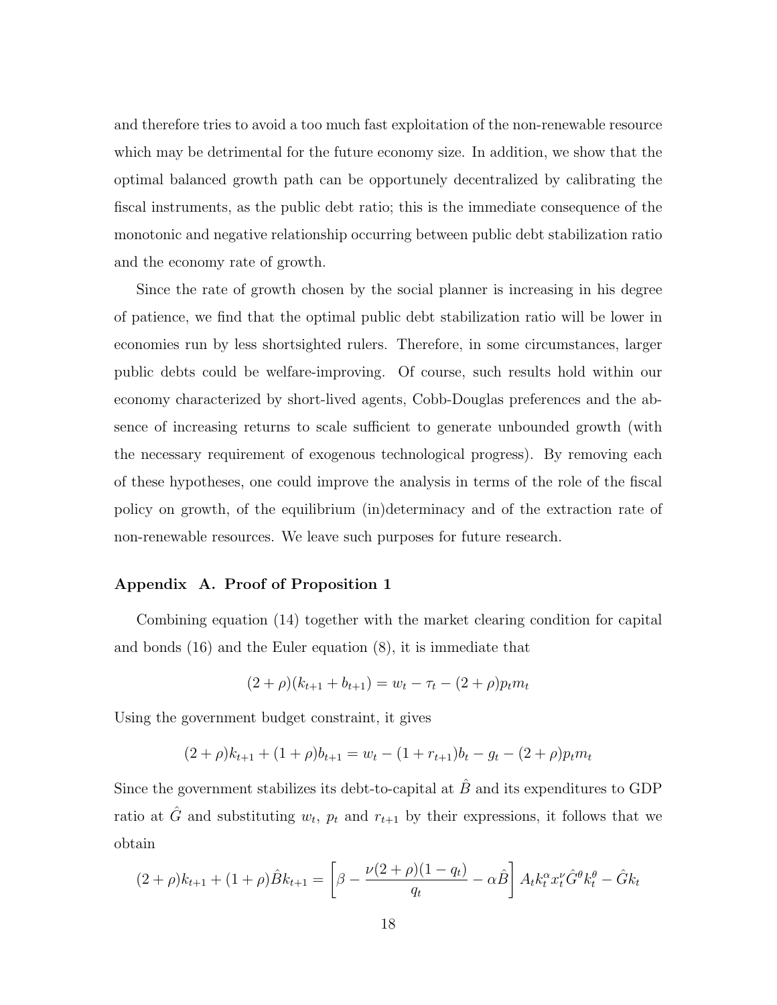and therefore tries to avoid a too much fast exploitation of the non-renewable resource which may be detrimental for the future economy size. In addition, we show that the optimal balanced growth path can be opportunely decentralized by calibrating the fiscal instruments, as the public debt ratio; this is the immediate consequence of the monotonic and negative relationship occurring between public debt stabilization ratio and the economy rate of growth.

Since the rate of growth chosen by the social planner is increasing in his degree of patience, we find that the optimal public debt stabilization ratio will be lower in economies run by less shortsighted rulers. Therefore, in some circumstances, larger public debts could be welfare-improving. Of course, such results hold within our economy characterized by short-lived agents, Cobb-Douglas preferences and the absence of increasing returns to scale sufficient to generate unbounded growth (with the necessary requirement of exogenous technological progress). By removing each of these hypotheses, one could improve the analysis in terms of the role of the fiscal policy on growth, of the equilibrium (in)determinacy and of the extraction rate of non-renewable resources. We leave such purposes for future research.

#### Appendix A. Proof of Proposition 1

Combining equation (14) together with the market clearing condition for capital and bonds (16) and the Euler equation (8), it is immediate that

$$
(2+\rho)(k_{t+1} + b_{t+1}) = w_t - \tau_t - (2+\rho)p_t m_t
$$

Using the government budget constraint, it gives

$$
(2+\rho)k_{t+1} + (1+\rho)b_{t+1} = w_t - (1+r_{t+1})b_t - g_t - (2+\rho)p_t m_t
$$

Since the government stabilizes its debt-to-capital at  $\hat{B}$  and its expenditures to GDP ratio at  $\hat{G}$  and substituting  $w_t$ ,  $p_t$  and  $r_{t+1}$  by their expressions, it follows that we obtain

$$
(2+\rho)k_{t+1} + (1+\rho)\hat{B}k_{t+1} = \left[\beta - \frac{\nu(2+\rho)(1-q_t)}{q_t} - \alpha\hat{B}\right]A_t k_t^{\alpha} x_t^{\nu} \hat{G}^{\theta} k_t^{\theta} - \hat{G}k_t
$$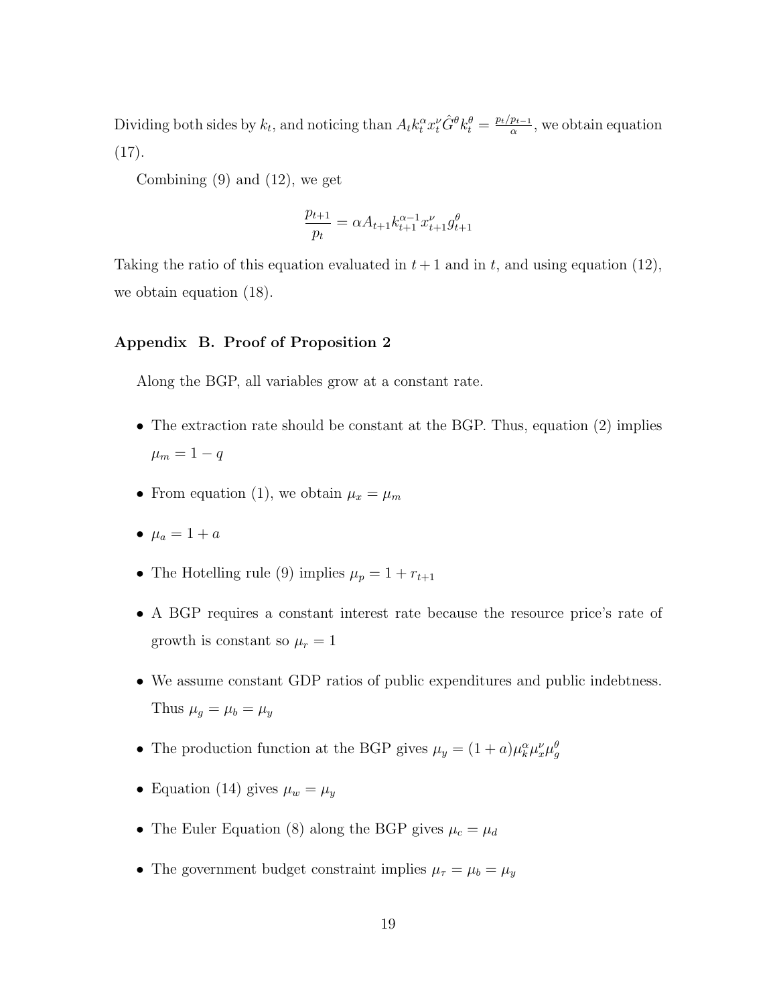Dividing both sides by  $k_t$ , and noticing than  $A_t k_t^{\alpha} x_t^{\nu} \hat{G}^{\theta} k_t^{\theta} = \frac{p_t/p_{t-1}}{\alpha}$  $\frac{p_{t-1}}{\alpha}$ , we obtain equation  $(17).$ 

Combining (9) and (12), we get

$$
\frac{p_{t+1}}{p_t} = \alpha A_{t+1} k_{t+1}^{\alpha-1} x_{t+1}^\nu g_{t+1}^\theta
$$

Taking the ratio of this equation evaluated in  $t + 1$  and in t, and using equation (12), we obtain equation (18).

#### Appendix B. Proof of Proposition 2

Along the BGP, all variables grow at a constant rate.

- The extraction rate should be constant at the BGP. Thus, equation (2) implies  $\mu_m = 1 - q$
- From equation (1), we obtain  $\mu_x = \mu_m$
- $\mu_a = 1 + a$
- The Hotelling rule (9) implies  $\mu_p = 1 + r_{t+1}$
- A BGP requires a constant interest rate because the resource price's rate of growth is constant so  $\mu_r = 1$
- We assume constant GDP ratios of public expenditures and public indebtness. Thus  $\mu_g = \mu_b = \mu_y$
- The production function at the BGP gives  $\mu_y = (1 + a)\mu_k^{\alpha} \mu_x^{\nu} \mu_g^{\beta}$
- Equation (14) gives  $\mu_w = \mu_y$
- The Euler Equation (8) along the BGP gives  $\mu_c = \mu_d$
- The government budget constraint implies  $\mu_{\tau} = \mu_b = \mu_y$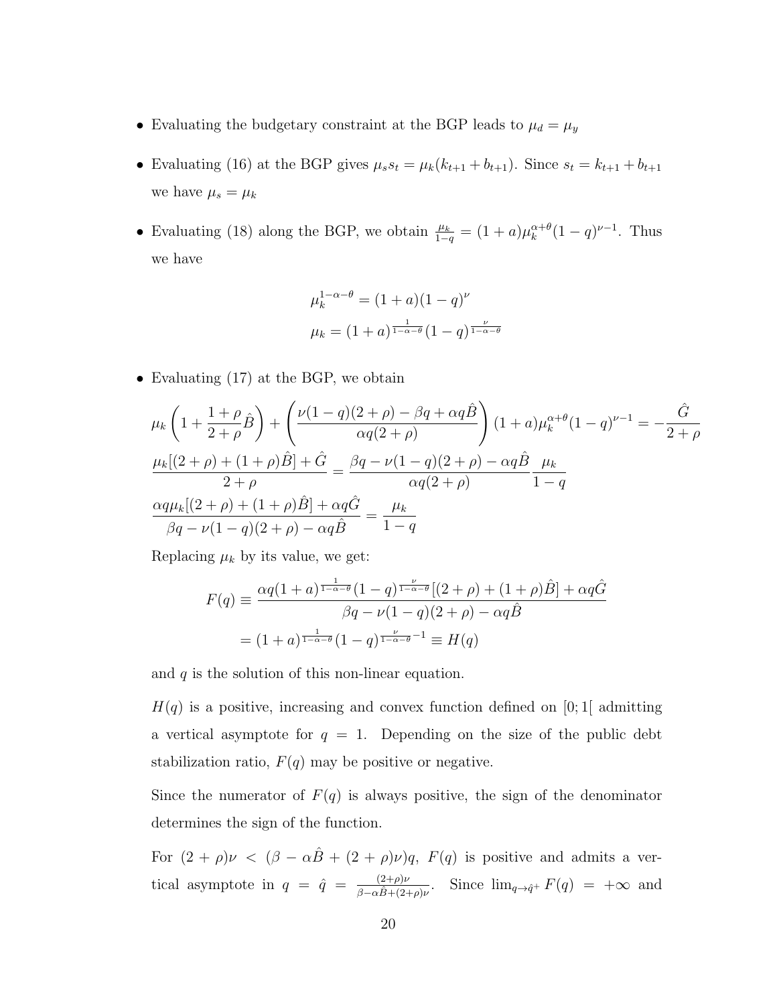- Evaluating the budgetary constraint at the BGP leads to  $\mu_d = \mu_y$
- Evaluating (16) at the BGP gives  $\mu_s s_t = \mu_k(k_{t+1} + b_{t+1})$ . Since  $s_t = k_{t+1} + b_{t+1}$ we have  $\mu_s = \mu_k$
- Evaluating (18) along the BGP, we obtain  $\frac{\mu_k}{1-q} = (1+a)\mu_k^{\alpha+\theta}$  $_{k}^{\alpha+\theta}(1-q)^{\nu-1}$ . Thus we have

$$
\mu_k^{1-\alpha-\theta} = (1+a)(1-q)^{\nu}
$$

$$
\mu_k = (1+a)^{\frac{1}{1-\alpha-\theta}}(1-q)^{\frac{\nu}{1-\alpha-\theta}}
$$

• Evaluating (17) at the BGP, we obtain

$$
\mu_{k} \left( 1 + \frac{1+\rho}{2+\rho} \hat{B} \right) + \left( \frac{\nu(1-q)(2+\rho) - \beta q + \alpha q \hat{B}}{\alpha q(2+\rho)} \right) (1+a) \mu_{k}^{\alpha+\theta} (1-q)^{\nu-1} = -\frac{\hat{G}}{2+\rho}
$$
  

$$
\frac{\mu_{k}[(2+\rho) + (1+\rho)\hat{B}] + \hat{G}}{2+\rho} = \frac{\beta q - \nu(1-q)(2+\rho) - \alpha q \hat{B}}{\alpha q(2+\rho)} \frac{\mu_{k}}{1-q}
$$
  

$$
\frac{\alpha q \mu_{k}[(2+\rho) + (1+\rho)\hat{B}] + \alpha q \hat{G}}{\beta q - \nu(1-q)(2+\rho) - \alpha q \hat{B}} = \frac{\mu_{k}}{1-q}
$$

Replacing  $\mu_k$  by its value, we get:

$$
F(q) \equiv \frac{\alpha q (1+a)^{\frac{1}{1-\alpha-\theta}} (1-q)^{\frac{\nu}{1-\alpha-\theta}} [(2+\rho)+(1+\rho)\hat{B}] + \alpha q \hat{G}}{\beta q - \nu (1-q)(2+\rho) - \alpha q \hat{B}}
$$

$$
= (1+a)^{\frac{1}{1-\alpha-\theta}} (1-q)^{\frac{\nu}{1-\alpha-\theta}-1} \equiv H(q)
$$

and  $q$  is the solution of this non-linear equation.

 $H(q)$  is a positive, increasing and convex function defined on [0;1] admitting a vertical asymptote for  $q = 1$ . Depending on the size of the public debt stabilization ratio,  $F(q)$  may be positive or negative.

Since the numerator of  $F(q)$  is always positive, the sign of the denominator determines the sign of the function.

For  $(2 + \rho)\nu < (\beta - \alpha\hat{B} + (2 + \rho)\nu)q$ ,  $F(q)$  is positive and admits a vertical asymptote in  $q = \hat{q} = \frac{(2+\rho)\nu}{\rho}$  $\frac{(2+\rho)\nu}{\beta-\alpha\hat{B}+(2+\rho)\nu}$ . Since  $\lim_{q\to q^+} F(q) = +\infty$  and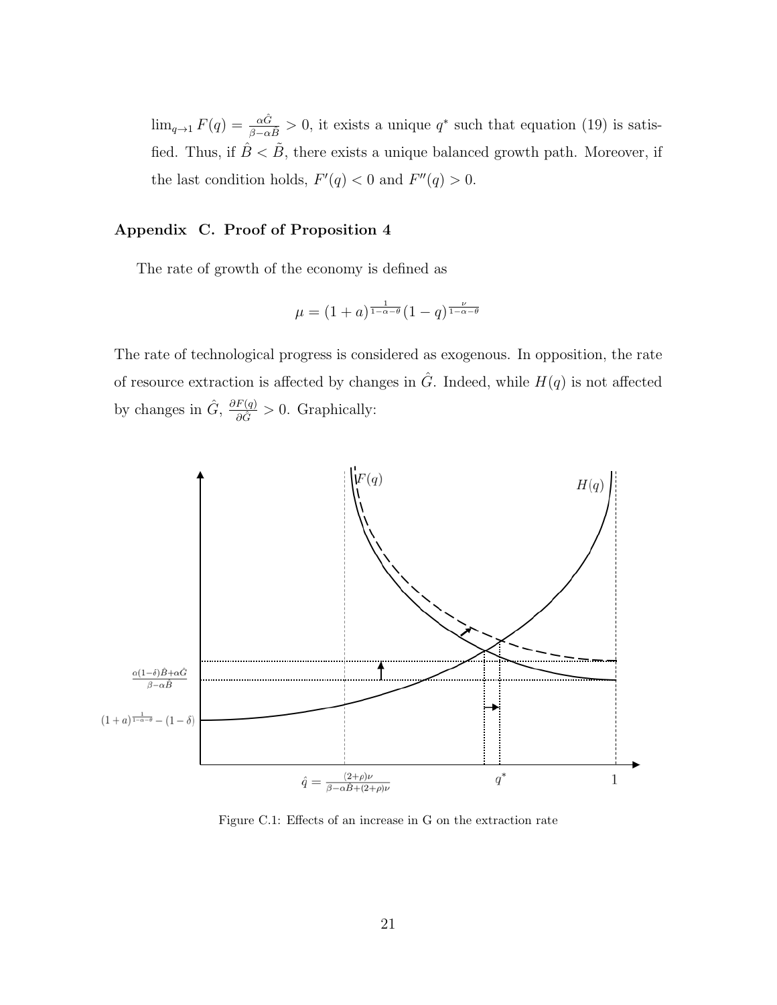$\lim_{q\to 1} F(q) = \frac{\alpha \hat{G}}{\beta - \alpha \hat{B}} > 0$ , it exists a unique  $q^*$  such that equation (19) is satisfied. Thus, if  $\hat{B} < \tilde{B}$ , there exists a unique balanced growth path. Moreover, if the last condition holds,  $F'(q) < 0$  and  $F''(q) > 0$ .

### Appendix C. Proof of Proposition 4

The rate of growth of the economy is defined as

$$
\mu = (1+a)^{\frac{1}{1-\alpha-\theta}}(1-q)^{\frac{\nu}{1-\alpha-\theta}}
$$

The rate of technological progress is considered as exogenous. In opposition, the rate of resource extraction is affected by changes in  $\hat{G}$ . Indeed, while  $H(q)$  is not affected by changes in  $\hat{G}$ ,  $\frac{\partial F(q)}{\partial \hat{G}} > 0$ . Graphically:



Figure C.1: Effects of an increase in G on the extraction rate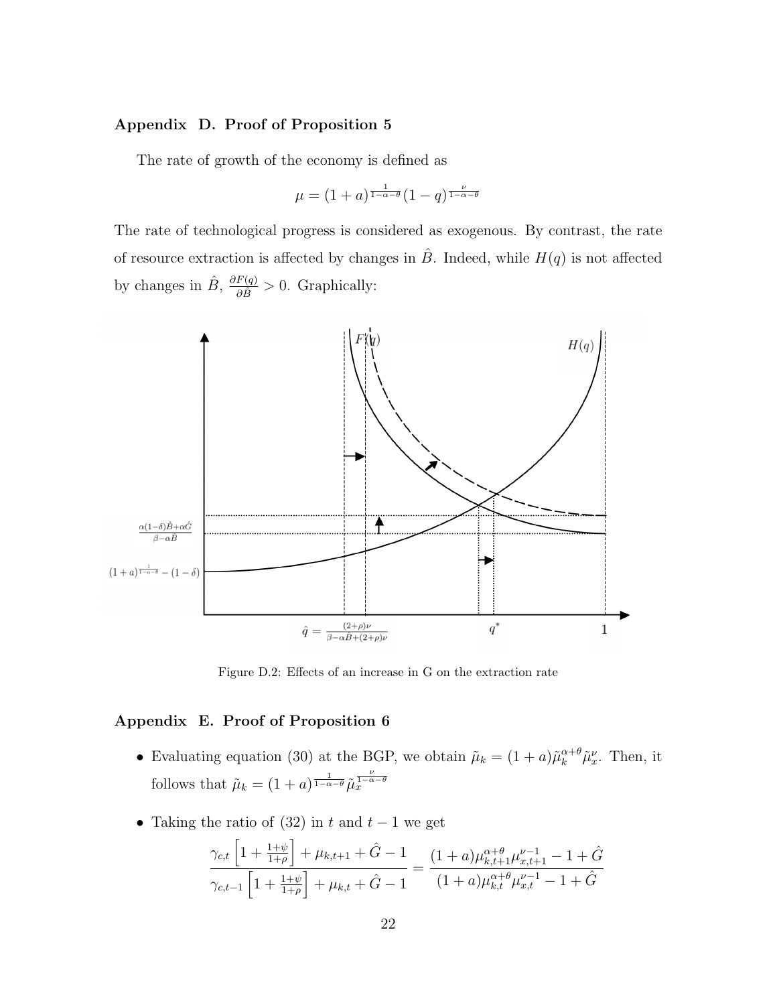#### Appendix D. Proof of Proposition 5

The rate of growth of the economy is defined as

$$
\mu = (1+a)^{\frac{1}{1-\alpha-\theta}} (1-q)^{\frac{\nu}{1-\alpha-\theta}}
$$

The rate of technological progress is considered as exogenous. By contrast, the rate of resource extraction is affected by changes in  $\hat{B}$ . Indeed, while  $H(q)$  is not affected by changes in  $\hat{B}$ ,  $\frac{\partial F(q)}{\partial \hat{B}} > 0$ . Graphically:



Figure D.2: Effects of an increase in G on the extraction rate

#### Appendix E. Proof of Proposition 6

- Evaluating equation (30) at the BGP, we obtain  $\tilde{\mu}_k = (1+a)\tilde{\mu}_k^{\alpha+\theta}\tilde{\mu}_x^{\nu}$ . Then, it follows that  $\tilde{\mu}_k = (1+a)^{\frac{1}{1-\alpha-\theta}} \tilde{\mu}_x^{\frac{\nu}{1-\alpha-\theta}}$
- Taking the ratio of (32) in t and  $t-1$  we get

$$
\frac{\gamma_{c,t} \left[1 + \frac{1+\psi}{1+\rho}\right] + \mu_{k,t+1} + \hat{G} - 1}{\gamma_{c,t-1} \left[1 + \frac{1+\psi}{1+\rho}\right] + \mu_{k,t} + \hat{G} - 1} = \frac{(1+a)\mu_{k,t+1}^{\alpha+\theta}\mu_{k,t+1}^{\nu-1} - 1 + \hat{G}}{(1+a)\mu_{k,t}^{\alpha+\theta}\mu_{x,t}^{\nu-1} - 1 + \hat{G}}
$$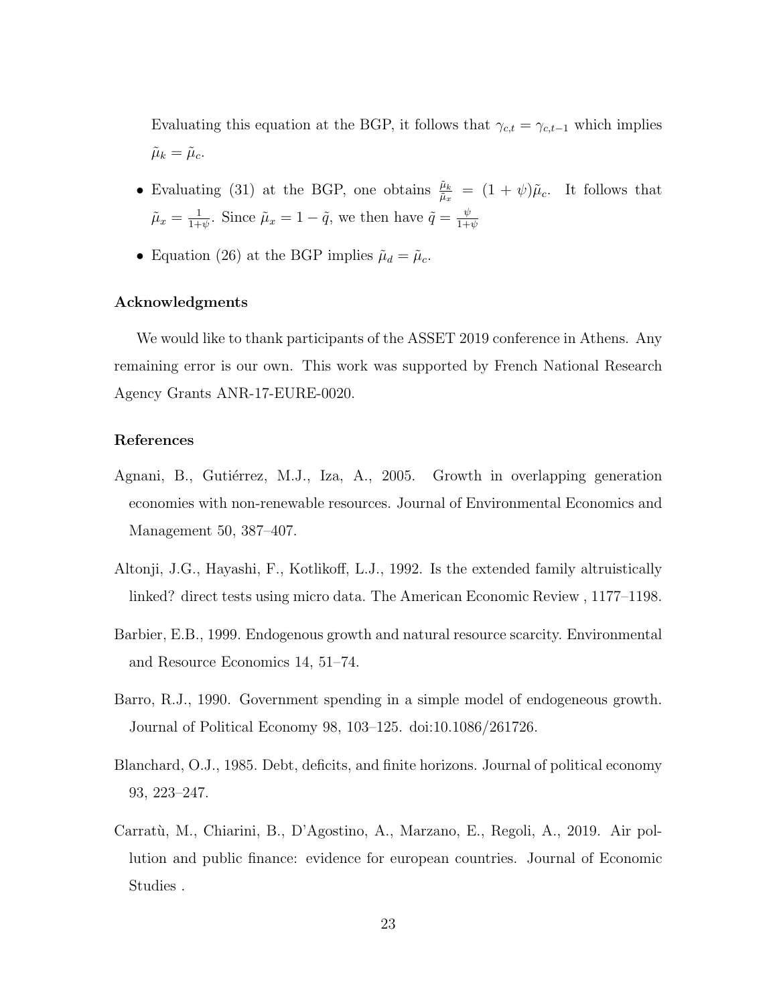Evaluating this equation at the BGP, it follows that  $\gamma_{c,t} = \gamma_{c,t-1}$  which implies  $\tilde{\mu}_k = \tilde{\mu}_c.$ 

- Evaluating (31) at the BGP, one obtains  $\frac{\tilde{\mu}_k}{\tilde{\mu}_x} = (1 + \psi)\tilde{\mu}_c$ . It follows that  $\tilde{\mu}_x = \frac{1}{1+}$  $\frac{1}{1+\psi}$ . Since  $\tilde{\mu}_x = 1 - \tilde{q}$ , we then have  $\tilde{q} = \frac{\psi}{1+\psi}$  $1+\psi$
- Equation (26) at the BGP implies  $\tilde{\mu}_d = \tilde{\mu}_c$ .

#### Acknowledgments

We would like to thank participants of the ASSET 2019 conference in Athens. Any remaining error is our own. This work was supported by French National Research Agency Grants ANR-17-EURE-0020.

#### References

- Agnani, B., Gutiérrez, M.J., Iza, A., 2005. Growth in overlapping generation economies with non-renewable resources. Journal of Environmental Economics and Management 50, 387–407.
- Altonji, J.G., Hayashi, F., Kotlikoff, L.J., 1992. Is the extended family altruistically linked? direct tests using micro data. The American Economic Review , 1177–1198.
- Barbier, E.B., 1999. Endogenous growth and natural resource scarcity. Environmental and Resource Economics 14, 51–74.
- Barro, R.J., 1990. Government spending in a simple model of endogeneous growth. Journal of Political Economy 98, 103–125. doi:10.1086/261726.
- Blanchard, O.J., 1985. Debt, deficits, and finite horizons. Journal of political economy 93, 223–247.
- Carratù, M., Chiarini, B., D'Agostino, A., Marzano, E., Regoli, A., 2019. Air pollution and public finance: evidence for european countries. Journal of Economic Studies .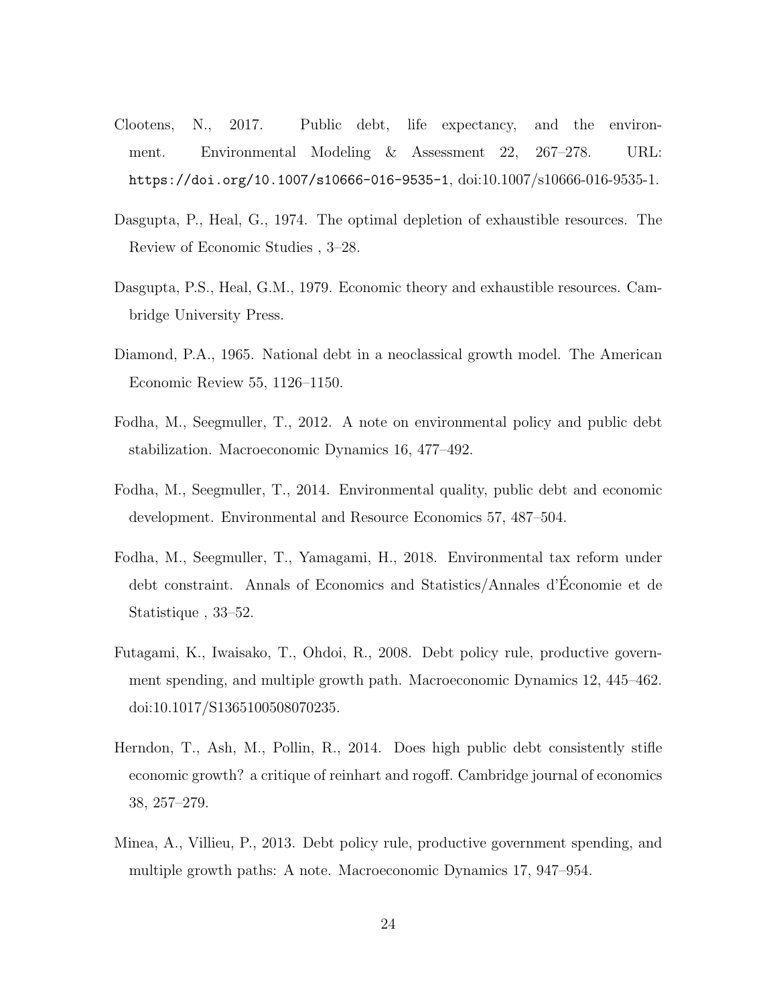- Clootens, N., 2017. Public debt, life expectancy, and the environment. Environmental Modeling & Assessment 22, 267–278. URL: https://doi.org/10.1007/s10666-016-9535-1, doi:10.1007/s10666-016-9535-1.
- Dasgupta, P., Heal, G., 1974. The optimal depletion of exhaustible resources. The Review of Economic Studies , 3–28.
- Dasgupta, P.S., Heal, G.M., 1979. Economic theory and exhaustible resources. Cambridge University Press.
- Diamond, P.A., 1965. National debt in a neoclassical growth model. The American Economic Review 55, 1126–1150.
- Fodha, M., Seegmuller, T., 2012. A note on environmental policy and public debt stabilization. Macroeconomic Dynamics 16, 477–492.
- Fodha, M., Seegmuller, T., 2014. Environmental quality, public debt and economic development. Environmental and Resource Economics 57, 487–504.
- Fodha, M., Seegmuller, T., Yamagami, H., 2018. Environmental tax reform under debt constraint. Annals of Economics and Statistics/Annales d'Economie et de ´ Statistique , 33–52.
- Futagami, K., Iwaisako, T., Ohdoi, R., 2008. Debt policy rule, productive government spending, and multiple growth path. Macroeconomic Dynamics 12, 445–462. doi:10.1017/S1365100508070235.
- Herndon, T., Ash, M., Pollin, R., 2014. Does high public debt consistently stifle economic growth? a critique of reinhart and rogoff. Cambridge journal of economics 38, 257–279.
- Minea, A., Villieu, P., 2013. Debt policy rule, productive government spending, and multiple growth paths: A note. Macroeconomic Dynamics 17, 947–954.